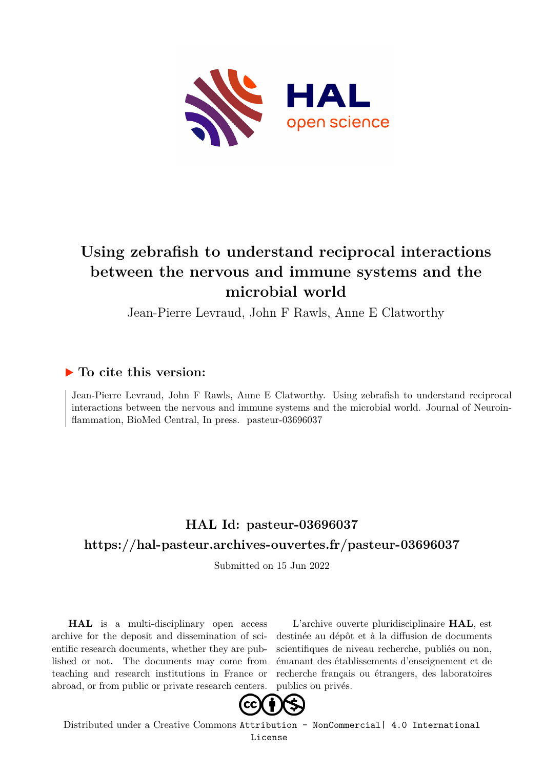

# **Using zebrafish to understand reciprocal interactions between the nervous and immune systems and the microbial world**

Jean-Pierre Levraud, John F Rawls, Anne E Clatworthy

# **To cite this version:**

Jean-Pierre Levraud, John F Rawls, Anne E Clatworthy. Using zebrafish to understand reciprocal interactions between the nervous and immune systems and the microbial world. Journal of Neuroinflammation, BioMed Central, In press. pasteur-03696037

# **HAL Id: pasteur-03696037 <https://hal-pasteur.archives-ouvertes.fr/pasteur-03696037>**

Submitted on 15 Jun 2022

**HAL** is a multi-disciplinary open access archive for the deposit and dissemination of scientific research documents, whether they are published or not. The documents may come from teaching and research institutions in France or abroad, or from public or private research centers.

L'archive ouverte pluridisciplinaire **HAL**, est destinée au dépôt et à la diffusion de documents scientifiques de niveau recherche, publiés ou non, émanant des établissements d'enseignement et de recherche français ou étrangers, des laboratoires publics ou privés.



Distributed under a Creative Commons [Attribution - NonCommercial| 4.0 International](http://creativecommons.org/licenses/by-nc/4.0/) [License](http://creativecommons.org/licenses/by-nc/4.0/)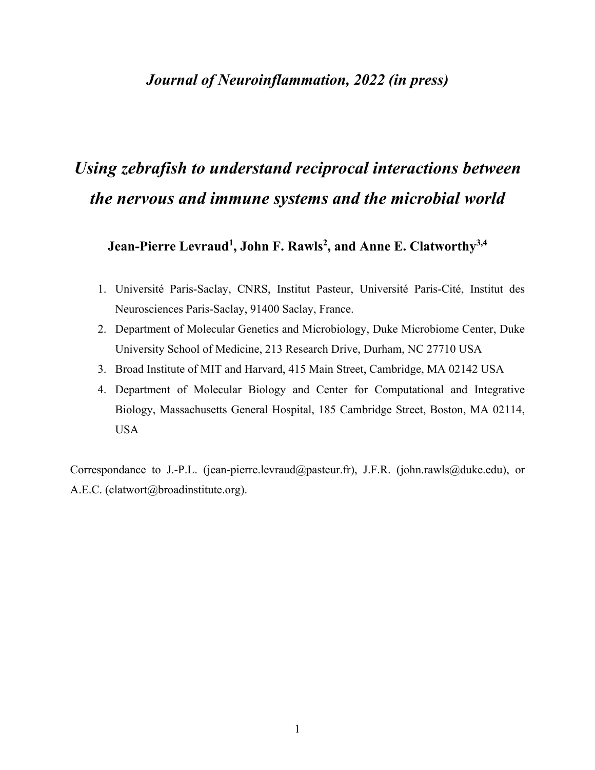# *Journal of Neuroinflammation, 2022 (in press)*

# *Using zebrafish to understand reciprocal interactions between the nervous and immune systems and the microbial world*

Jean-Pierre Levraud<sup>1</sup>, John F. Rawls<sup>2</sup>, and Anne E. Clatworthy<sup>3,4</sup>

- 1. Université Paris-Saclay, CNRS, Institut Pasteur, Université Paris-Cité, Institut des Neurosciences Paris-Saclay, 91400 Saclay, France.
- 2. Department of Molecular Genetics and Microbiology, Duke Microbiome Center, Duke University School of Medicine, 213 Research Drive, Durham, NC 27710 USA
- 3. Broad Institute of MIT and Harvard, 415 Main Street, Cambridge, MA 02142 USA
- 4. Department of Molecular Biology and Center for Computational and Integrative Biology, Massachusetts General Hospital, 185 Cambridge Street, Boston, MA 02114, USA

Correspondance to J.-P.L. (jean-pierre.levraud@pasteur.fr), J.F.R. (john.rawls@duke.edu), or A.E.C. (clatwort@broadinstitute.org).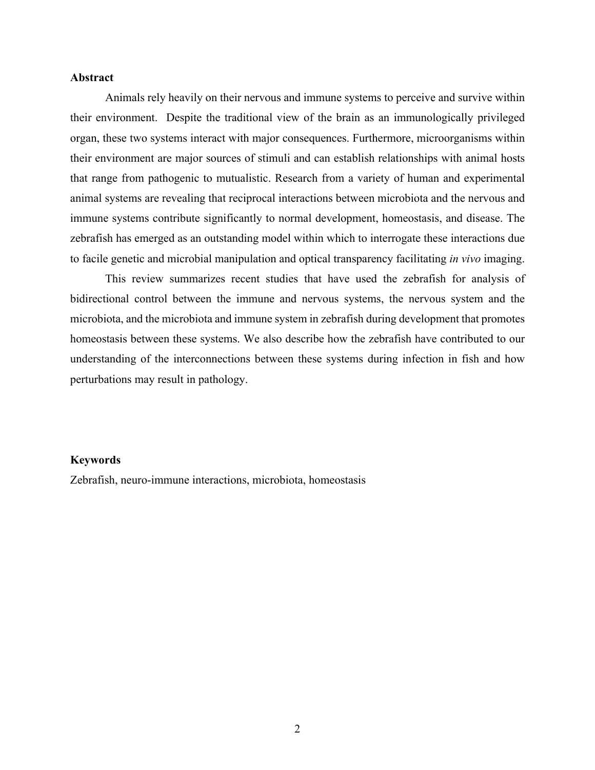#### **Abstract**

Animals rely heavily on their nervous and immune systems to perceive and survive within their environment. Despite the traditional view of the brain as an immunologically privileged organ, these two systems interact with major consequences. Furthermore, microorganisms within their environment are major sources of stimuli and can establish relationships with animal hosts that range from pathogenic to mutualistic. Research from a variety of human and experimental animal systems are revealing that reciprocal interactions between microbiota and the nervous and immune systems contribute significantly to normal development, homeostasis, and disease. The zebrafish has emerged as an outstanding model within which to interrogate these interactions due to facile genetic and microbial manipulation and optical transparency facilitating *in vivo* imaging.

This review summarizes recent studies that have used the zebrafish for analysis of bidirectional control between the immune and nervous systems, the nervous system and the microbiota, and the microbiota and immune system in zebrafish during development that promotes homeostasis between these systems. We also describe how the zebrafish have contributed to our understanding of the interconnections between these systems during infection in fish and how perturbations may result in pathology.

#### **Keywords**

Zebrafish, neuro-immune interactions, microbiota, homeostasis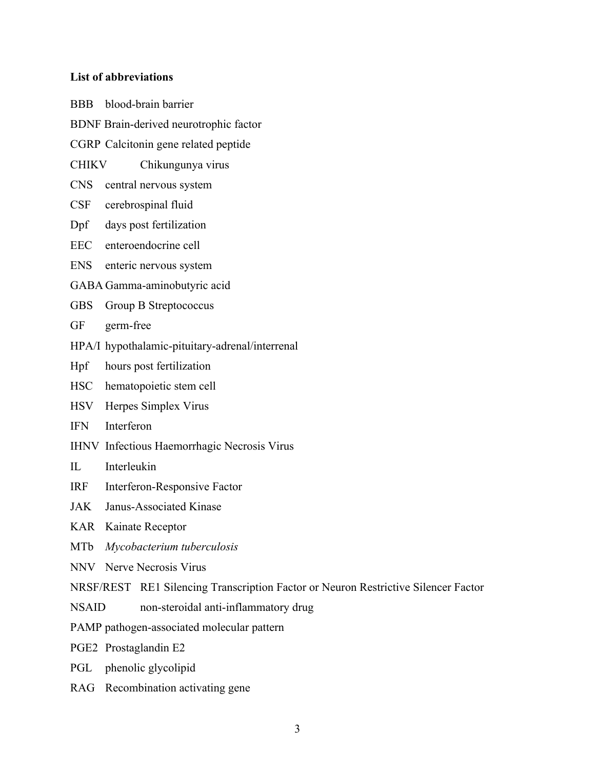#### **List of abbreviations**

BBB blood-brain barrier BDNF Brain-derived neurotrophic factor CGRP Calcitonin gene related peptide CHIKV Chikungunya virus CNS central nervous system CSF cerebrospinal fluid Dpf days post fertilization EEC enteroendocrine cell ENS enteric nervous system GABA Gamma-aminobutyric acid GBS Group B Streptococcus GF germ-free HPA/I hypothalamic-pituitary-adrenal/interrenal Hpf hours post fertilization HSC hematopoietic stem cell HSV Herpes Simplex Virus IFN Interferon IHNV Infectious Haemorrhagic Necrosis Virus IL Interleukin IRF Interferon-Responsive Factor JAK Janus-Associated Kinase KAR Kainate Receptor MTb *Mycobacterium tuberculosis* NNV Nerve Necrosis Virus NRSF/REST RE1 Silencing Transcription Factor or Neuron Restrictive Silencer Factor NSAID non-steroidal anti-inflammatory drug PAMP pathogen-associated molecular pattern PGE2 Prostaglandin E2 PGL phenolic glycolipid

RAG Recombination activating gene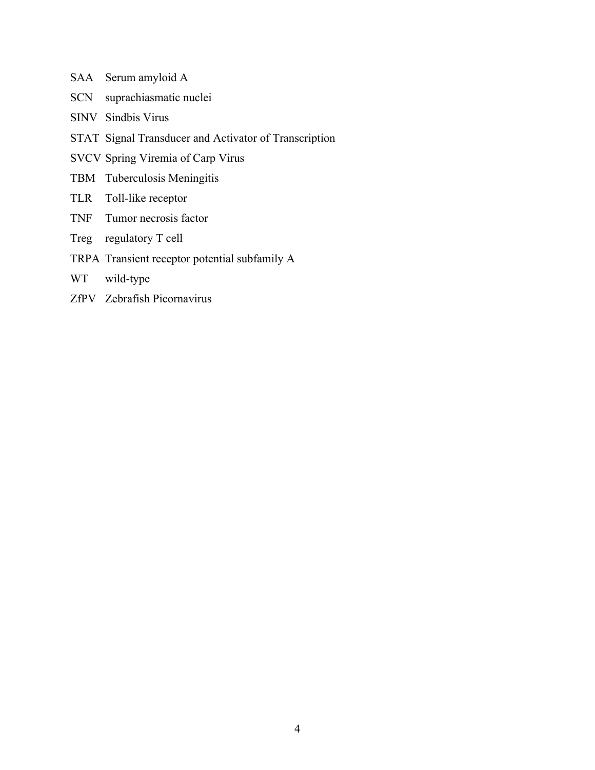- SAA Serum amyloid A
- SCN suprachiasmatic nuclei
- SINV Sindbis Virus
- STAT Signal Transducer and Activator of Transcription
- SVCV Spring Viremia of Carp Virus
- TBM Tuberculosis Meningitis
- TLR Toll-like receptor
- TNF Tumor necrosis factor
- Treg regulatory T cell
- TRPA Transient receptor potential subfamily A
- WT wild-type
- ZfPV Zebrafish Picornavirus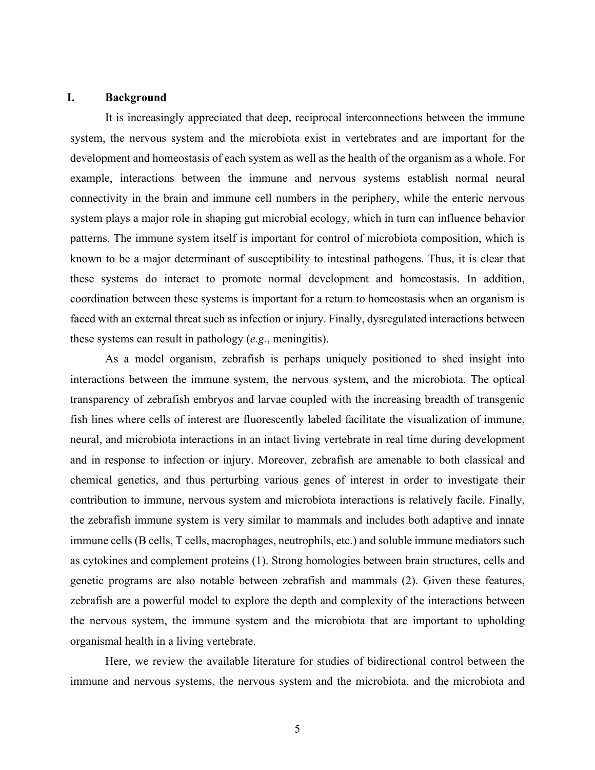#### **I. Background**

It is increasingly appreciated that deep, reciprocal interconnections between the immune system, the nervous system and the microbiota exist in vertebrates and are important for the development and homeostasis of each system as well as the health of the organism as a whole. For example, interactions between the immune and nervous systems establish normal neural connectivity in the brain and immune cell numbers in the periphery, while the enteric nervous system plays a major role in shaping gut microbial ecology, which in turn can influence behavior patterns. The immune system itself is important for control of microbiota composition, which is known to be a major determinant of susceptibility to intestinal pathogens. Thus, it is clear that these systems do interact to promote normal development and homeostasis. In addition, coordination between these systems is important for a return to homeostasis when an organism is faced with an external threat such as infection or injury. Finally, dysregulated interactions between these systems can result in pathology (*e.g.*, meningitis).

As a model organism, zebrafish is perhaps uniquely positioned to shed insight into interactions between the immune system, the nervous system, and the microbiota. The optical transparency of zebrafish embryos and larvae coupled with the increasing breadth of transgenic fish lines where cells of interest are fluorescently labeled facilitate the visualization of immune, neural, and microbiota interactions in an intact living vertebrate in real time during development and in response to infection or injury. Moreover, zebrafish are amenable to both classical and chemical genetics, and thus perturbing various genes of interest in order to investigate their contribution to immune, nervous system and microbiota interactions is relatively facile. Finally, the zebrafish immune system is very similar to mammals and includes both adaptive and innate immune cells (B cells, T cells, macrophages, neutrophils, etc.) and soluble immune mediators such as cytokines and complement proteins (1). Strong homologies between brain structures, cells and genetic programs are also notable between zebrafish and mammals (2). Given these features, zebrafish are a powerful model to explore the depth and complexity of the interactions between the nervous system, the immune system and the microbiota that are important to upholding organismal health in a living vertebrate.

Here, we review the available literature for studies of bidirectional control between the immune and nervous systems, the nervous system and the microbiota, and the microbiota and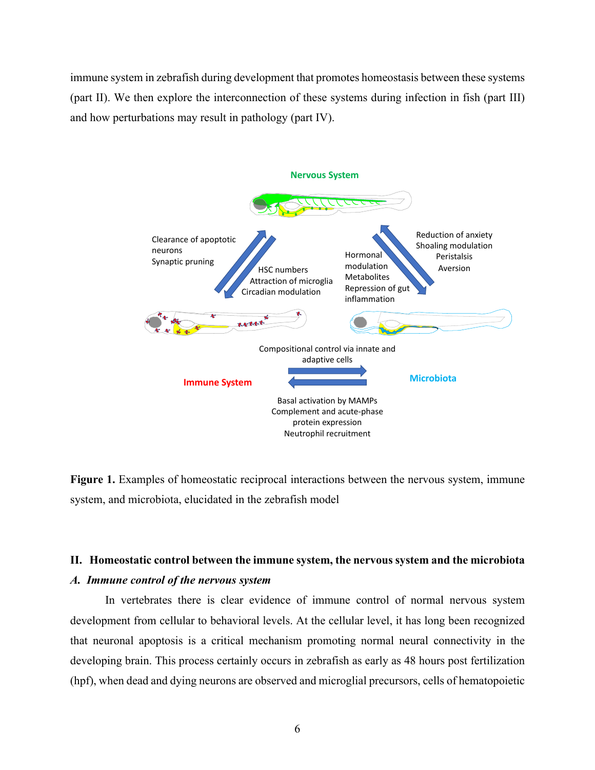immune system in zebrafish during development that promotes homeostasis between these systems (part II). We then explore the interconnection of these systems during infection in fish (part III) and how perturbations may result in pathology (part IV).



**Figure 1.** Examples of homeostatic reciprocal interactions between the nervous system, immune system, and microbiota, elucidated in the zebrafish model

#### **II. Homeostatic control between the immune system, the nervous system and the microbiota**

#### *A. Immune control of the nervous system*

In vertebrates there is clear evidence of immune control of normal nervous system development from cellular to behavioral levels. At the cellular level, it has long been recognized that neuronal apoptosis is a critical mechanism promoting normal neural connectivity in the developing brain. This process certainly occurs in zebrafish as early as 48 hours post fertilization (hpf), when dead and dying neurons are observed and microglial precursors, cells of hematopoietic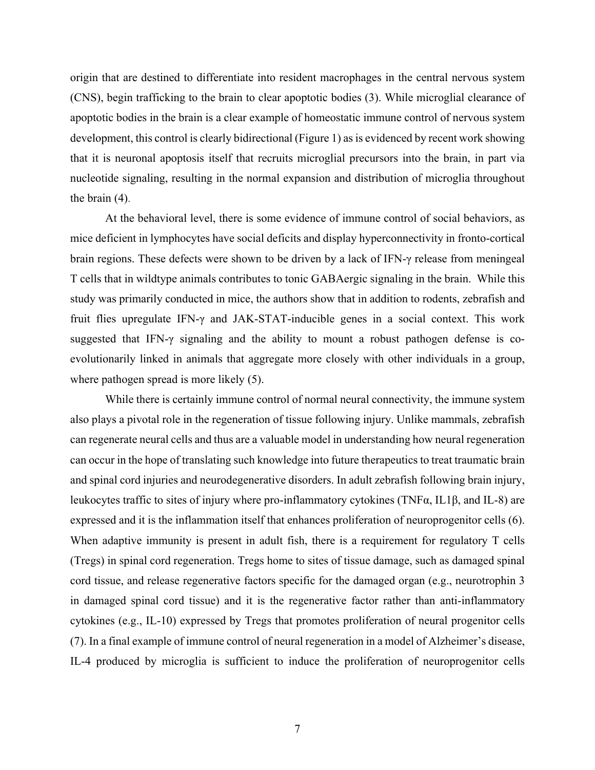origin that are destined to differentiate into resident macrophages in the central nervous system (CNS), begin trafficking to the brain to clear apoptotic bodies (3). While microglial clearance of apoptotic bodies in the brain is a clear example of homeostatic immune control of nervous system development, this control is clearly bidirectional (Figure 1) as is evidenced by recent work showing that it is neuronal apoptosis itself that recruits microglial precursors into the brain, in part via nucleotide signaling, resulting in the normal expansion and distribution of microglia throughout the brain (4).

 At the behavioral level, there is some evidence of immune control of social behaviors, as mice deficient in lymphocytes have social deficits and display hyperconnectivity in fronto-cortical brain regions. These defects were shown to be driven by a lack of IFN-γ release from meningeal T cells that in wildtype animals contributes to tonic GABAergic signaling in the brain. While this study was primarily conducted in mice, the authors show that in addition to rodents, zebrafish and fruit flies upregulate IFN-γ and JAK-STAT-inducible genes in a social context. This work suggested that IFN-γ signaling and the ability to mount a robust pathogen defense is coevolutionarily linked in animals that aggregate more closely with other individuals in a group, where pathogen spread is more likely  $(5)$ .

While there is certainly immune control of normal neural connectivity, the immune system also plays a pivotal role in the regeneration of tissue following injury. Unlike mammals, zebrafish can regenerate neural cells and thus are a valuable model in understanding how neural regeneration can occur in the hope of translating such knowledge into future therapeutics to treat traumatic brain and spinal cord injuries and neurodegenerative disorders. In adult zebrafish following brain injury, leukocytes traffic to sites of injury where pro-inflammatory cytokines (TNFα, IL1β, and IL-8) are expressed and it is the inflammation itself that enhances proliferation of neuroprogenitor cells (6). When adaptive immunity is present in adult fish, there is a requirement for regulatory T cells (Tregs) in spinal cord regeneration. Tregs home to sites of tissue damage, such as damaged spinal cord tissue, and release regenerative factors specific for the damaged organ (e.g., neurotrophin 3 in damaged spinal cord tissue) and it is the regenerative factor rather than anti-inflammatory cytokines (e.g., IL-10) expressed by Tregs that promotes proliferation of neural progenitor cells (7). In a final example of immune control of neural regeneration in a model of Alzheimer's disease, IL-4 produced by microglia is sufficient to induce the proliferation of neuroprogenitor cells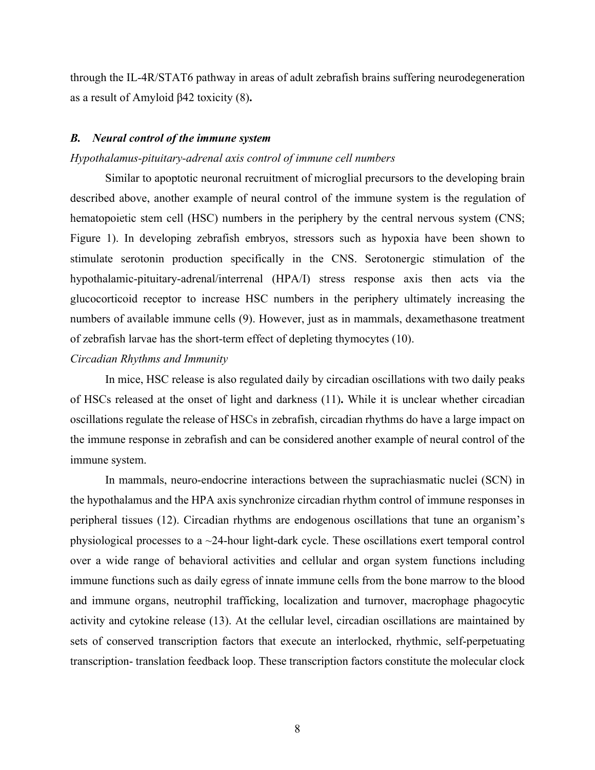through the IL-4R/STAT6 pathway in areas of adult zebrafish brains suffering neurodegeneration as a result of Amyloid β42 toxicity (8)**.**

#### *B. Neural control of the immune system*

#### *Hypothalamus-pituitary-adrenal axis control of immune cell numbers*

Similar to apoptotic neuronal recruitment of microglial precursors to the developing brain described above, another example of neural control of the immune system is the regulation of hematopoietic stem cell (HSC) numbers in the periphery by the central nervous system (CNS; Figure 1). In developing zebrafish embryos, stressors such as hypoxia have been shown to stimulate serotonin production specifically in the CNS. Serotonergic stimulation of the hypothalamic-pituitary-adrenal/interrenal (HPA/I) stress response axis then acts via the glucocorticoid receptor to increase HSC numbers in the periphery ultimately increasing the numbers of available immune cells (9). However, just as in mammals, dexamethasone treatment of zebrafish larvae has the short-term effect of depleting thymocytes (10).

#### *Circadian Rhythms and Immunity*

In mice, HSC release is also regulated daily by circadian oscillations with two daily peaks of HSCs released at the onset of light and darkness (11)**.** While it is unclear whether circadian oscillations regulate the release of HSCs in zebrafish, circadian rhythms do have a large impact on the immune response in zebrafish and can be considered another example of neural control of the immune system.

In mammals, neuro-endocrine interactions between the suprachiasmatic nuclei (SCN) in the hypothalamus and the HPA axis synchronize circadian rhythm control of immune responses in peripheral tissues (12). Circadian rhythms are endogenous oscillations that tune an organism's physiological processes to a ~24-hour light-dark cycle. These oscillations exert temporal control over a wide range of behavioral activities and cellular and organ system functions including immune functions such as daily egress of innate immune cells from the bone marrow to the blood and immune organs, neutrophil trafficking, localization and turnover, macrophage phagocytic activity and cytokine release (13). At the cellular level, circadian oscillations are maintained by sets of conserved transcription factors that execute an interlocked, rhythmic, self-perpetuating transcription- translation feedback loop. These transcription factors constitute the molecular clock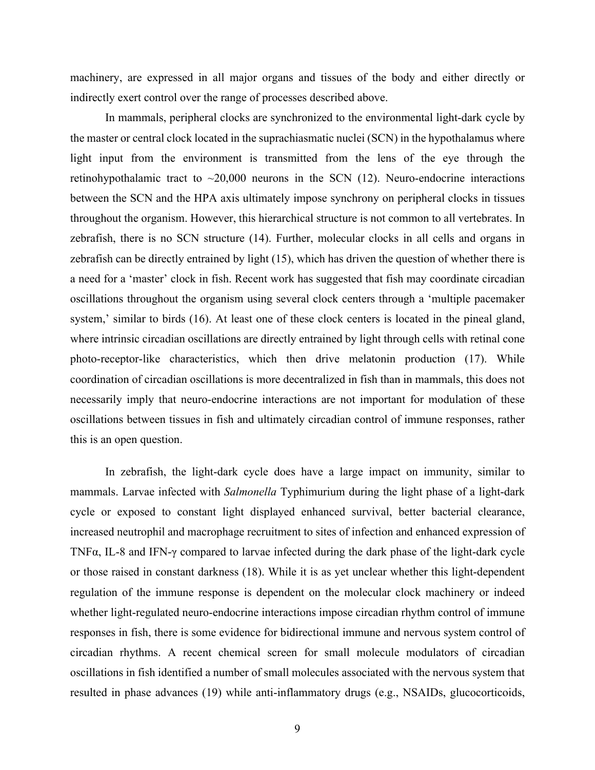machinery, are expressed in all major organs and tissues of the body and either directly or indirectly exert control over the range of processes described above.

In mammals, peripheral clocks are synchronized to the environmental light-dark cycle by the master or central clock located in the suprachiasmatic nuclei (SCN) in the hypothalamus where light input from the environment is transmitted from the lens of the eye through the retinohypothalamic tract to  $\sim$ 20,000 neurons in the SCN (12). Neuro-endocrine interactions between the SCN and the HPA axis ultimately impose synchrony on peripheral clocks in tissues throughout the organism. However, this hierarchical structure is not common to all vertebrates. In zebrafish, there is no SCN structure (14). Further, molecular clocks in all cells and organs in zebrafish can be directly entrained by light (15), which has driven the question of whether there is a need for a 'master' clock in fish. Recent work has suggested that fish may coordinate circadian oscillations throughout the organism using several clock centers through a 'multiple pacemaker system,' similar to birds (16). At least one of these clock centers is located in the pineal gland, where intrinsic circadian oscillations are directly entrained by light through cells with retinal cone photo-receptor-like characteristics, which then drive melatonin production (17). While coordination of circadian oscillations is more decentralized in fish than in mammals, this does not necessarily imply that neuro-endocrine interactions are not important for modulation of these oscillations between tissues in fish and ultimately circadian control of immune responses, rather this is an open question.

In zebrafish, the light-dark cycle does have a large impact on immunity, similar to mammals. Larvae infected with *Salmonella* Typhimurium during the light phase of a light-dark cycle or exposed to constant light displayed enhanced survival, better bacterial clearance, increased neutrophil and macrophage recruitment to sites of infection and enhanced expression of TNFα, IL-8 and IFN-γ compared to larvae infected during the dark phase of the light-dark cycle or those raised in constant darkness (18). While it is as yet unclear whether this light-dependent regulation of the immune response is dependent on the molecular clock machinery or indeed whether light-regulated neuro-endocrine interactions impose circadian rhythm control of immune responses in fish, there is some evidence for bidirectional immune and nervous system control of circadian rhythms. A recent chemical screen for small molecule modulators of circadian oscillations in fish identified a number of small molecules associated with the nervous system that resulted in phase advances (19) while anti-inflammatory drugs (e.g., NSAIDs, glucocorticoids,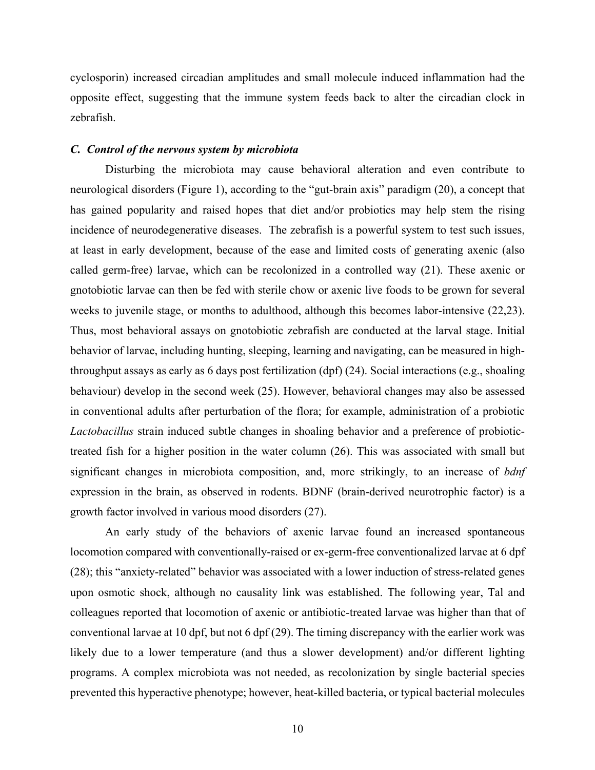cyclosporin) increased circadian amplitudes and small molecule induced inflammation had the opposite effect, suggesting that the immune system feeds back to alter the circadian clock in zebrafish.

#### *C. Control of the nervous system by microbiota*

Disturbing the microbiota may cause behavioral alteration and even contribute to neurological disorders (Figure 1), according to the "gut-brain axis" paradigm (20), a concept that has gained popularity and raised hopes that diet and/or probiotics may help stem the rising incidence of neurodegenerative diseases. The zebrafish is a powerful system to test such issues, at least in early development, because of the ease and limited costs of generating axenic (also called germ-free) larvae, which can be recolonized in a controlled way (21). These axenic or gnotobiotic larvae can then be fed with sterile chow or axenic live foods to be grown for several weeks to juvenile stage, or months to adulthood, although this becomes labor-intensive (22,23). Thus, most behavioral assays on gnotobiotic zebrafish are conducted at the larval stage. Initial behavior of larvae, including hunting, sleeping, learning and navigating, can be measured in highthroughput assays as early as 6 days post fertilization (dpf) (24). Social interactions (e.g., shoaling behaviour) develop in the second week (25). However, behavioral changes may also be assessed in conventional adults after perturbation of the flora; for example, administration of a probiotic *Lactobacillus* strain induced subtle changes in shoaling behavior and a preference of probiotictreated fish for a higher position in the water column (26). This was associated with small but significant changes in microbiota composition, and, more strikingly, to an increase of *bdnf* expression in the brain, as observed in rodents. BDNF (brain-derived neurotrophic factor) is a growth factor involved in various mood disorders (27).

An early study of the behaviors of axenic larvae found an increased spontaneous locomotion compared with conventionally-raised or ex-germ-free conventionalized larvae at 6 dpf (28); this "anxiety-related" behavior was associated with a lower induction of stress-related genes upon osmotic shock, although no causality link was established. The following year, Tal and colleagues reported that locomotion of axenic or antibiotic-treated larvae was higher than that of conventional larvae at 10 dpf, but not 6 dpf (29). The timing discrepancy with the earlier work was likely due to a lower temperature (and thus a slower development) and/or different lighting programs. A complex microbiota was not needed, as recolonization by single bacterial species prevented this hyperactive phenotype; however, heat-killed bacteria, or typical bacterial molecules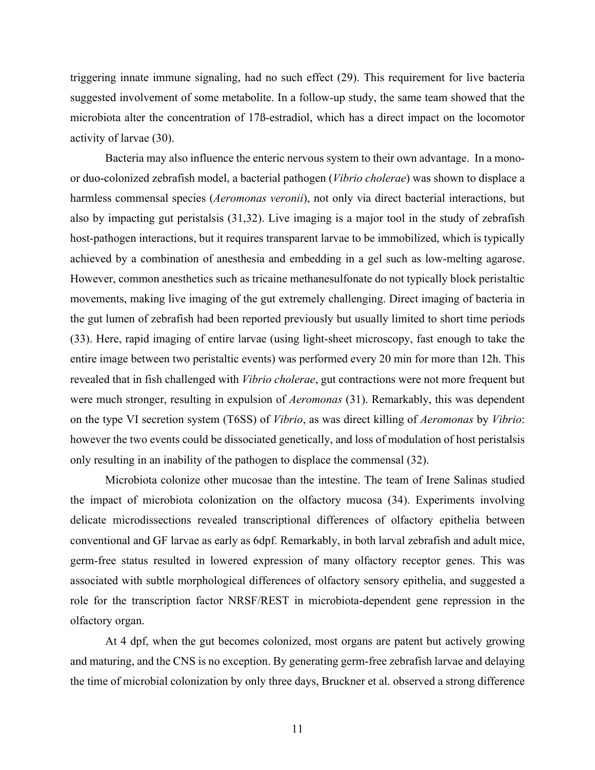triggering innate immune signaling, had no such effect (29). This requirement for live bacteria suggested involvement of some metabolite. In a follow-up study, the same team showed that the microbiota alter the concentration of 17ß-estradiol, which has a direct impact on the locomotor activity of larvae (30).

Bacteria may also influence the enteric nervous system to their own advantage. In a monoor duo-colonized zebrafish model, a bacterial pathogen (*Vibrio cholerae*) was shown to displace a harmless commensal species (*Aeromonas veronii*), not only via direct bacterial interactions, but also by impacting gut peristalsis (31,32). Live imaging is a major tool in the study of zebrafish host-pathogen interactions, but it requires transparent larvae to be immobilized, which is typically achieved by a combination of anesthesia and embedding in a gel such as low-melting agarose. However, common anesthetics such as tricaine methanesulfonate do not typically block peristaltic movements, making live imaging of the gut extremely challenging. Direct imaging of bacteria in the gut lumen of zebrafish had been reported previously but usually limited to short time periods (33). Here, rapid imaging of entire larvae (using light-sheet microscopy, fast enough to take the entire image between two peristaltic events) was performed every 20 min for more than 12h. This revealed that in fish challenged with *Vibrio cholerae*, gut contractions were not more frequent but were much stronger, resulting in expulsion of *Aeromonas* (31). Remarkably, this was dependent on the type VI secretion system (T6SS) of *Vibrio*, as was direct killing of *Aeromonas* by *Vibrio*: however the two events could be dissociated genetically, and loss of modulation of host peristalsis only resulting in an inability of the pathogen to displace the commensal (32).

Microbiota colonize other mucosae than the intestine. The team of Irene Salinas studied the impact of microbiota colonization on the olfactory mucosa (34). Experiments involving delicate microdissections revealed transcriptional differences of olfactory epithelia between conventional and GF larvae as early as 6dpf. Remarkably, in both larval zebrafish and adult mice, germ-free status resulted in lowered expression of many olfactory receptor genes. This was associated with subtle morphological differences of olfactory sensory epithelia, and suggested a role for the transcription factor NRSF/REST in microbiota-dependent gene repression in the olfactory organ.

At 4 dpf, when the gut becomes colonized, most organs are patent but actively growing and maturing, and the CNS is no exception. By generating germ-free zebrafish larvae and delaying the time of microbial colonization by only three days, Bruckner et al. observed a strong difference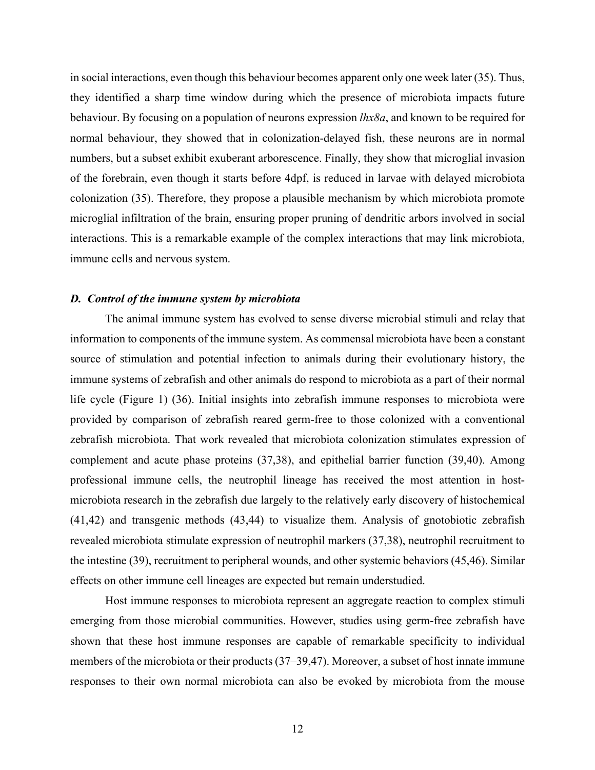in social interactions, even though this behaviour becomes apparent only one week later (35). Thus, they identified a sharp time window during which the presence of microbiota impacts future behaviour. By focusing on a population of neurons expression *lhx8a*, and known to be required for normal behaviour, they showed that in colonization-delayed fish, these neurons are in normal numbers, but a subset exhibit exuberant arborescence. Finally, they show that microglial invasion of the forebrain, even though it starts before 4dpf, is reduced in larvae with delayed microbiota colonization (35). Therefore, they propose a plausible mechanism by which microbiota promote microglial infiltration of the brain, ensuring proper pruning of dendritic arbors involved in social interactions. This is a remarkable example of the complex interactions that may link microbiota, immune cells and nervous system.

#### *D. Control of the immune system by microbiota*

 The animal immune system has evolved to sense diverse microbial stimuli and relay that information to components of the immune system. As commensal microbiota have been a constant source of stimulation and potential infection to animals during their evolutionary history, the immune systems of zebrafish and other animals do respond to microbiota as a part of their normal life cycle (Figure 1) (36). Initial insights into zebrafish immune responses to microbiota were provided by comparison of zebrafish reared germ-free to those colonized with a conventional zebrafish microbiota. That work revealed that microbiota colonization stimulates expression of complement and acute phase proteins (37,38), and epithelial barrier function (39,40). Among professional immune cells, the neutrophil lineage has received the most attention in hostmicrobiota research in the zebrafish due largely to the relatively early discovery of histochemical (41,42) and transgenic methods (43,44) to visualize them. Analysis of gnotobiotic zebrafish revealed microbiota stimulate expression of neutrophil markers (37,38), neutrophil recruitment to the intestine (39), recruitment to peripheral wounds, and other systemic behaviors (45,46). Similar effects on other immune cell lineages are expected but remain understudied.

Host immune responses to microbiota represent an aggregate reaction to complex stimuli emerging from those microbial communities. However, studies using germ-free zebrafish have shown that these host immune responses are capable of remarkable specificity to individual members of the microbiota or their products (37–39,47). Moreover, a subset of host innate immune responses to their own normal microbiota can also be evoked by microbiota from the mouse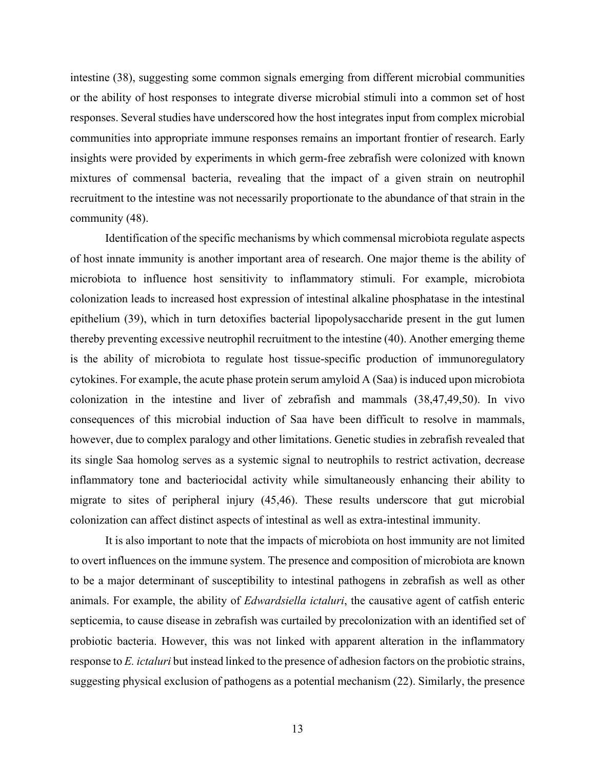intestine (38), suggesting some common signals emerging from different microbial communities or the ability of host responses to integrate diverse microbial stimuli into a common set of host responses. Several studies have underscored how the host integrates input from complex microbial communities into appropriate immune responses remains an important frontier of research. Early insights were provided by experiments in which germ-free zebrafish were colonized with known mixtures of commensal bacteria, revealing that the impact of a given strain on neutrophil recruitment to the intestine was not necessarily proportionate to the abundance of that strain in the community (48).

Identification of the specific mechanisms by which commensal microbiota regulate aspects of host innate immunity is another important area of research. One major theme is the ability of microbiota to influence host sensitivity to inflammatory stimuli. For example, microbiota colonization leads to increased host expression of intestinal alkaline phosphatase in the intestinal epithelium (39), which in turn detoxifies bacterial lipopolysaccharide present in the gut lumen thereby preventing excessive neutrophil recruitment to the intestine (40). Another emerging theme is the ability of microbiota to regulate host tissue-specific production of immunoregulatory cytokines. For example, the acute phase protein serum amyloid A (Saa) is induced upon microbiota colonization in the intestine and liver of zebrafish and mammals (38,47,49,50). In vivo consequences of this microbial induction of Saa have been difficult to resolve in mammals, however, due to complex paralogy and other limitations. Genetic studies in zebrafish revealed that its single Saa homolog serves as a systemic signal to neutrophils to restrict activation, decrease inflammatory tone and bacteriocidal activity while simultaneously enhancing their ability to migrate to sites of peripheral injury (45,46). These results underscore that gut microbial colonization can affect distinct aspects of intestinal as well as extra-intestinal immunity.

It is also important to note that the impacts of microbiota on host immunity are not limited to overt influences on the immune system. The presence and composition of microbiota are known to be a major determinant of susceptibility to intestinal pathogens in zebrafish as well as other animals. For example, the ability of *Edwardsiella ictaluri*, the causative agent of catfish enteric septicemia, to cause disease in zebrafish was curtailed by precolonization with an identified set of probiotic bacteria. However, this was not linked with apparent alteration in the inflammatory response to *E. ictaluri* but instead linked to the presence of adhesion factors on the probiotic strains, suggesting physical exclusion of pathogens as a potential mechanism (22). Similarly, the presence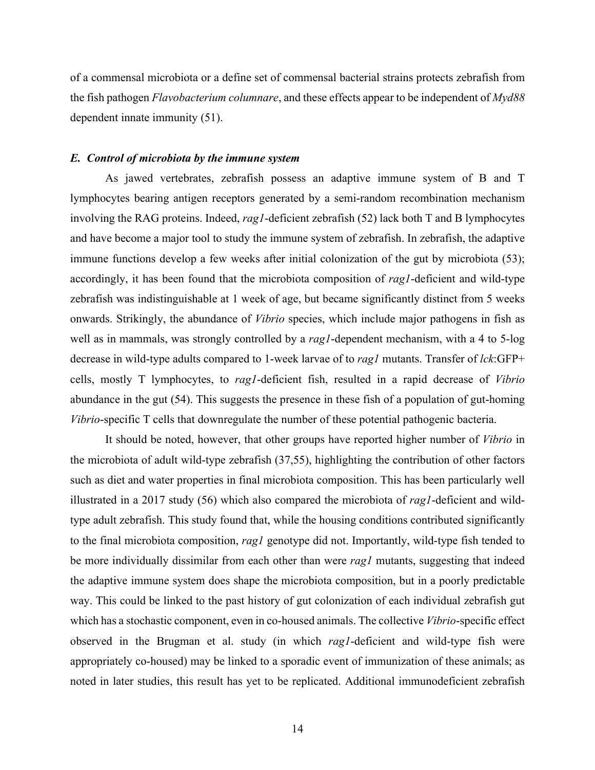of a commensal microbiota or a define set of commensal bacterial strains protects zebrafish from the fish pathogen *Flavobacterium columnare*, and these effects appear to be independent of *Myd88* dependent innate immunity (51).

#### *E. Control of microbiota by the immune system*

As jawed vertebrates, zebrafish possess an adaptive immune system of B and T lymphocytes bearing antigen receptors generated by a semi-random recombination mechanism involving the RAG proteins. Indeed, *rag1*-deficient zebrafish (52) lack both T and B lymphocytes and have become a major tool to study the immune system of zebrafish. In zebrafish, the adaptive immune functions develop a few weeks after initial colonization of the gut by microbiota (53); accordingly, it has been found that the microbiota composition of *rag1*-deficient and wild-type zebrafish was indistinguishable at 1 week of age, but became significantly distinct from 5 weeks onwards. Strikingly, the abundance of *Vibrio* species, which include major pathogens in fish as well as in mammals, was strongly controlled by a *rag1*-dependent mechanism, with a 4 to 5-log decrease in wild-type adults compared to 1-week larvae of to *rag1* mutants. Transfer of *lck*:GFP+ cells, mostly T lymphocytes, to *rag1*-deficient fish, resulted in a rapid decrease of *Vibrio* abundance in the gut (54). This suggests the presence in these fish of a population of gut-homing *Vibrio*-specific T cells that downregulate the number of these potential pathogenic bacteria.

It should be noted, however, that other groups have reported higher number of *Vibrio* in the microbiota of adult wild-type zebrafish (37,55), highlighting the contribution of other factors such as diet and water properties in final microbiota composition. This has been particularly well illustrated in a 2017 study (56) which also compared the microbiota of *rag1*-deficient and wildtype adult zebrafish. This study found that, while the housing conditions contributed significantly to the final microbiota composition, *rag1* genotype did not. Importantly, wild-type fish tended to be more individually dissimilar from each other than were *rag1* mutants, suggesting that indeed the adaptive immune system does shape the microbiota composition, but in a poorly predictable way. This could be linked to the past history of gut colonization of each individual zebrafish gut which has a stochastic component, even in co-housed animals. The collective *Vibrio*-specific effect observed in the Brugman et al. study (in which *rag1*-deficient and wild-type fish were appropriately co-housed) may be linked to a sporadic event of immunization of these animals; as noted in later studies, this result has yet to be replicated. Additional immunodeficient zebrafish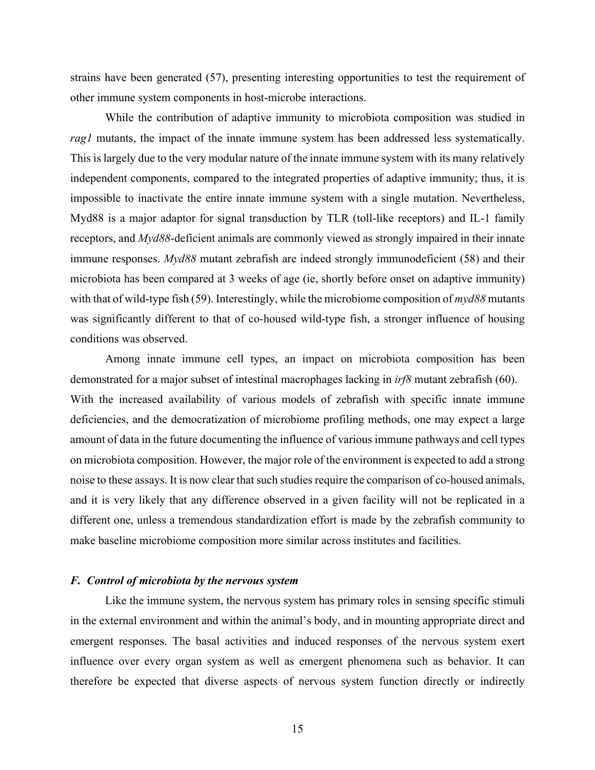strains have been generated (57), presenting interesting opportunities to test the requirement of other immune system components in host-microbe interactions.

While the contribution of adaptive immunity to microbiota composition was studied in *rag1* mutants, the impact of the innate immune system has been addressed less systematically. This is largely due to the very modular nature of the innate immune system with its many relatively independent components, compared to the integrated properties of adaptive immunity; thus, it is impossible to inactivate the entire innate immune system with a single mutation. Nevertheless, Myd88 is a major adaptor for signal transduction by TLR (toll-like receptors) and IL-1 family receptors, and *Myd88*-deficient animals are commonly viewed as strongly impaired in their innate immune responses. *Myd88* mutant zebrafish are indeed strongly immunodeficient (58) and their microbiota has been compared at 3 weeks of age (ie, shortly before onset on adaptive immunity) with that of wild-type fish (59). Interestingly, while the microbiome composition of *myd88* mutants was significantly different to that of co-housed wild-type fish, a stronger influence of housing conditions was observed.

Among innate immune cell types, an impact on microbiota composition has been demonstrated for a major subset of intestinal macrophages lacking in *irf8* mutant zebrafish (60). With the increased availability of various models of zebrafish with specific innate immune deficiencies, and the democratization of microbiome profiling methods, one may expect a large amount of data in the future documenting the influence of various immune pathways and cell types on microbiota composition. However, the major role of the environment is expected to add a strong noise to these assays. It is now clear that such studies require the comparison of co-housed animals, and it is very likely that any difference observed in a given facility will not be replicated in a different one, unless a tremendous standardization effort is made by the zebrafish community to make baseline microbiome composition more similar across institutes and facilities.

#### *F. Control of microbiota by the nervous system*

Like the immune system, the nervous system has primary roles in sensing specific stimuli in the external environment and within the animal's body, and in mounting appropriate direct and emergent responses. The basal activities and induced responses of the nervous system exert influence over every organ system as well as emergent phenomena such as behavior. It can therefore be expected that diverse aspects of nervous system function directly or indirectly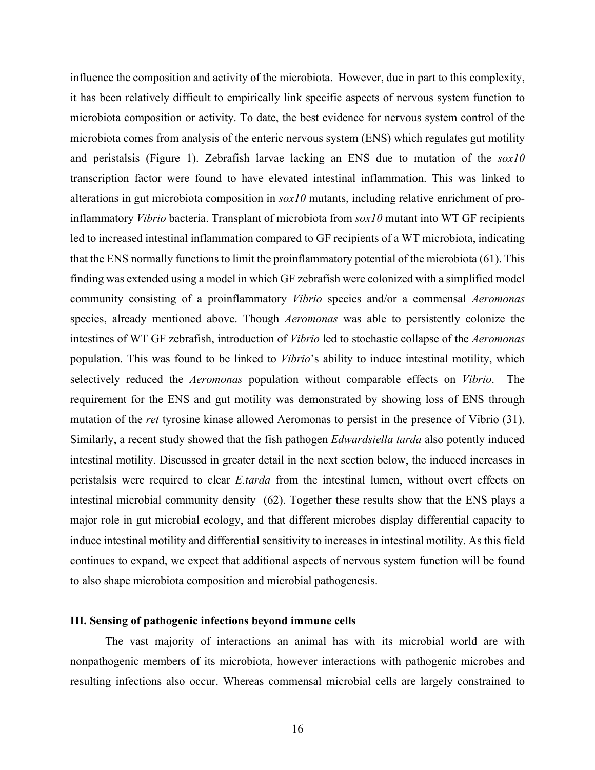influence the composition and activity of the microbiota. However, due in part to this complexity, it has been relatively difficult to empirically link specific aspects of nervous system function to microbiota composition or activity. To date, the best evidence for nervous system control of the microbiota comes from analysis of the enteric nervous system (ENS) which regulates gut motility and peristalsis (Figure 1). Zebrafish larvae lacking an ENS due to mutation of the *sox10*  transcription factor were found to have elevated intestinal inflammation. This was linked to alterations in gut microbiota composition in *sox10* mutants, including relative enrichment of proinflammatory *Vibrio* bacteria. Transplant of microbiota from *sox10* mutant into WT GF recipients led to increased intestinal inflammation compared to GF recipients of a WT microbiota, indicating that the ENS normally functions to limit the proinflammatory potential of the microbiota (61). This finding was extended using a model in which GF zebrafish were colonized with a simplified model community consisting of a proinflammatory *Vibrio* species and/or a commensal *Aeromonas* species, already mentioned above. Though *Aeromonas* was able to persistently colonize the intestines of WT GF zebrafish, introduction of *Vibrio* led to stochastic collapse of the *Aeromonas* population. This was found to be linked to *Vibrio*'s ability to induce intestinal motility, which selectively reduced the *Aeromonas* population without comparable effects on *Vibrio*. The requirement for the ENS and gut motility was demonstrated by showing loss of ENS through mutation of the *ret* tyrosine kinase allowed Aeromonas to persist in the presence of Vibrio (31). Similarly, a recent study showed that the fish pathogen *Edwardsiella tarda* also potently induced intestinal motility. Discussed in greater detail in the next section below, the induced increases in peristalsis were required to clear *E.tarda* from the intestinal lumen, without overt effects on intestinal microbial community density (62). Together these results show that the ENS plays a major role in gut microbial ecology, and that different microbes display differential capacity to induce intestinal motility and differential sensitivity to increases in intestinal motility. As this field continues to expand, we expect that additional aspects of nervous system function will be found to also shape microbiota composition and microbial pathogenesis.

#### **III. Sensing of pathogenic infections beyond immune cells**

The vast majority of interactions an animal has with its microbial world are with nonpathogenic members of its microbiota, however interactions with pathogenic microbes and resulting infections also occur. Whereas commensal microbial cells are largely constrained to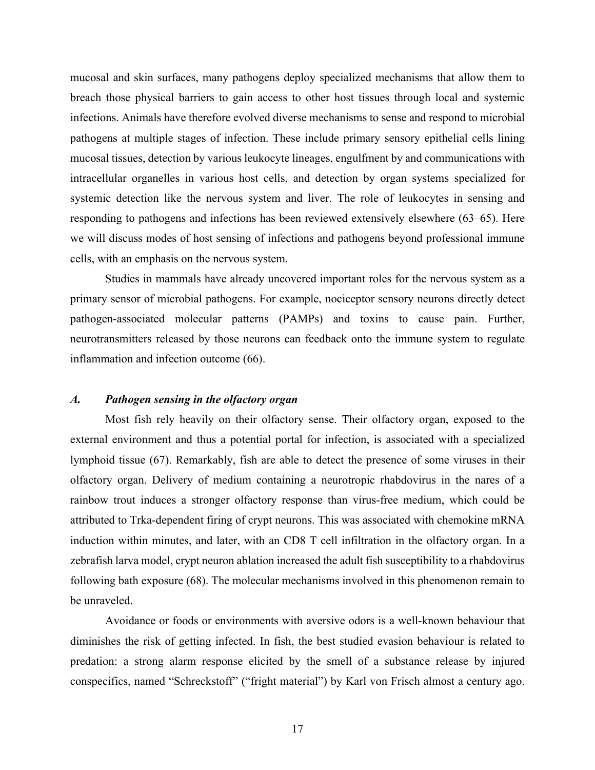mucosal and skin surfaces, many pathogens deploy specialized mechanisms that allow them to breach those physical barriers to gain access to other host tissues through local and systemic infections. Animals have therefore evolved diverse mechanisms to sense and respond to microbial pathogens at multiple stages of infection. These include primary sensory epithelial cells lining mucosal tissues, detection by various leukocyte lineages, engulfment by and communications with intracellular organelles in various host cells, and detection by organ systems specialized for systemic detection like the nervous system and liver. The role of leukocytes in sensing and responding to pathogens and infections has been reviewed extensively elsewhere (63–65). Here we will discuss modes of host sensing of infections and pathogens beyond professional immune cells, with an emphasis on the nervous system.

Studies in mammals have already uncovered important roles for the nervous system as a primary sensor of microbial pathogens. For example, nociceptor sensory neurons directly detect pathogen-associated molecular patterns (PAMPs) and toxins to cause pain. Further, neurotransmitters released by those neurons can feedback onto the immune system to regulate inflammation and infection outcome (66).

#### *A. Pathogen sensing in the olfactory organ*

Most fish rely heavily on their olfactory sense. Their olfactory organ, exposed to the external environment and thus a potential portal for infection, is associated with a specialized lymphoid tissue (67). Remarkably, fish are able to detect the presence of some viruses in their olfactory organ. Delivery of medium containing a neurotropic rhabdovirus in the nares of a rainbow trout induces a stronger olfactory response than virus-free medium, which could be attributed to Trka-dependent firing of crypt neurons. This was associated with chemokine mRNA induction within minutes, and later, with an CD8 T cell infiltration in the olfactory organ. In a zebrafish larva model, crypt neuron ablation increased the adult fish susceptibility to a rhabdovirus following bath exposure (68). The molecular mechanisms involved in this phenomenon remain to be unraveled.

Avoidance or foods or environments with aversive odors is a well-known behaviour that diminishes the risk of getting infected. In fish, the best studied evasion behaviour is related to predation: a strong alarm response elicited by the smell of a substance release by injured conspecifics, named "Schreckstoff" ("fright material") by Karl von Frisch almost a century ago.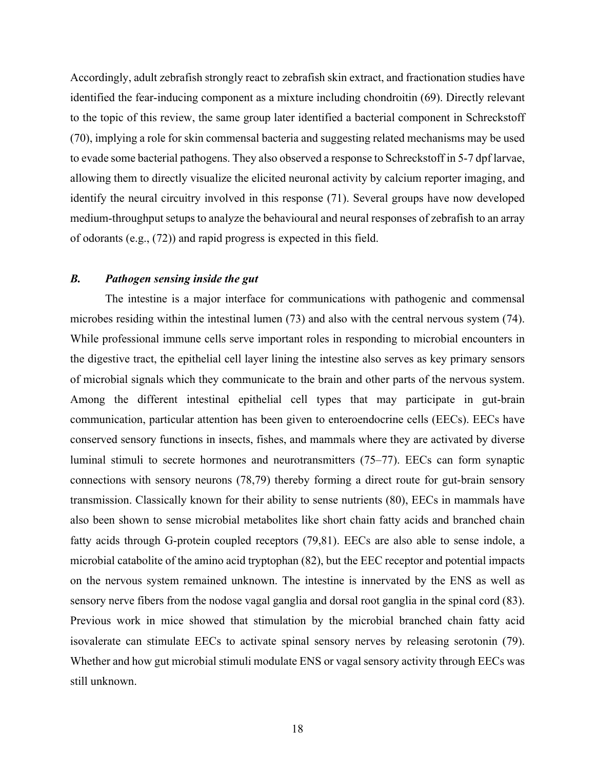Accordingly, adult zebrafish strongly react to zebrafish skin extract, and fractionation studies have identified the fear-inducing component as a mixture including chondroitin (69). Directly relevant to the topic of this review, the same group later identified a bacterial component in Schreckstoff (70), implying a role for skin commensal bacteria and suggesting related mechanisms may be used to evade some bacterial pathogens. They also observed a response to Schreckstoff in 5-7 dpf larvae, allowing them to directly visualize the elicited neuronal activity by calcium reporter imaging, and identify the neural circuitry involved in this response (71). Several groups have now developed medium-throughput setups to analyze the behavioural and neural responses of zebrafish to an array of odorants (e.g., (72)) and rapid progress is expected in this field.

#### *B. Pathogen sensing inside the gut*

The intestine is a major interface for communications with pathogenic and commensal microbes residing within the intestinal lumen (73) and also with the central nervous system (74). While professional immune cells serve important roles in responding to microbial encounters in the digestive tract, the epithelial cell layer lining the intestine also serves as key primary sensors of microbial signals which they communicate to the brain and other parts of the nervous system. Among the different intestinal epithelial cell types that may participate in gut-brain communication, particular attention has been given to enteroendocrine cells (EECs). EECs have conserved sensory functions in insects, fishes, and mammals where they are activated by diverse luminal stimuli to secrete hormones and neurotransmitters (75–77). EECs can form synaptic connections with sensory neurons (78,79) thereby forming a direct route for gut-brain sensory transmission. Classically known for their ability to sense nutrients (80), EECs in mammals have also been shown to sense microbial metabolites like short chain fatty acids and branched chain fatty acids through G-protein coupled receptors (79,81). EECs are also able to sense indole, a microbial catabolite of the amino acid tryptophan (82), but the EEC receptor and potential impacts on the nervous system remained unknown. The intestine is innervated by the ENS as well as sensory nerve fibers from the nodose vagal ganglia and dorsal root ganglia in the spinal cord (83). Previous work in mice showed that stimulation by the microbial branched chain fatty acid isovalerate can stimulate EECs to activate spinal sensory nerves by releasing serotonin (79). Whether and how gut microbial stimuli modulate ENS or vagal sensory activity through EECs was still unknown.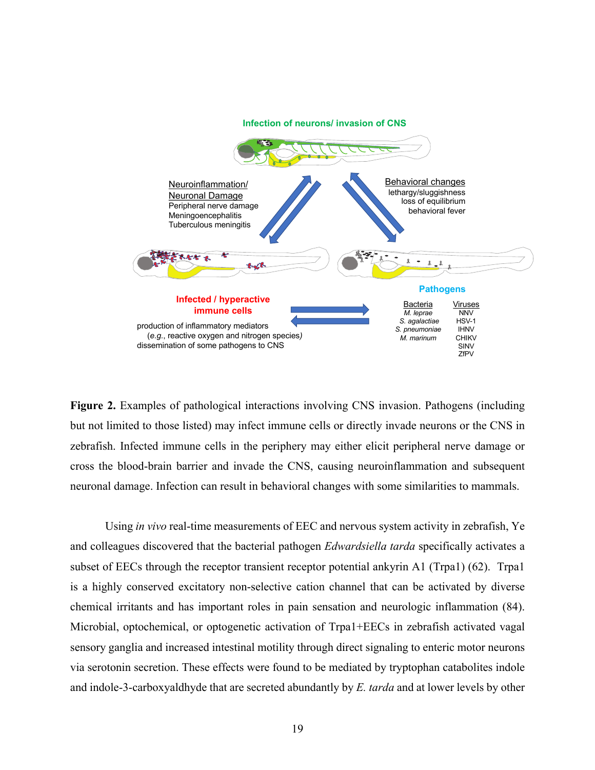

**Figure 2.** Examples of pathological interactions involving CNS invasion. Pathogens (including but not limited to those listed) may infect immune cells or directly invade neurons or the CNS in zebrafish. Infected immune cells in the periphery may either elicit peripheral nerve damage or cross the blood-brain barrier and invade the CNS, causing neuroinflammation and subsequent neuronal damage. Infection can result in behavioral changes with some similarities to mammals.

Using *in vivo* real-time measurements of EEC and nervous system activity in zebrafish, Ye and colleagues discovered that the bacterial pathogen *Edwardsiella tarda* specifically activates a subset of EECs through the receptor transient receptor potential ankyrin A1 (Trpa1) (62). Trpa1 is a highly conserved excitatory non-selective cation channel that can be activated by diverse chemical irritants and has important roles in pain sensation and neurologic inflammation (84). Microbial, optochemical, or optogenetic activation of Trpa1+EECs in zebrafish activated vagal sensory ganglia and increased intestinal motility through direct signaling to enteric motor neurons via serotonin secretion. These effects were found to be mediated by tryptophan catabolites indole and indole-3-carboxyaldhyde that are secreted abundantly by *E. tarda* and at lower levels by other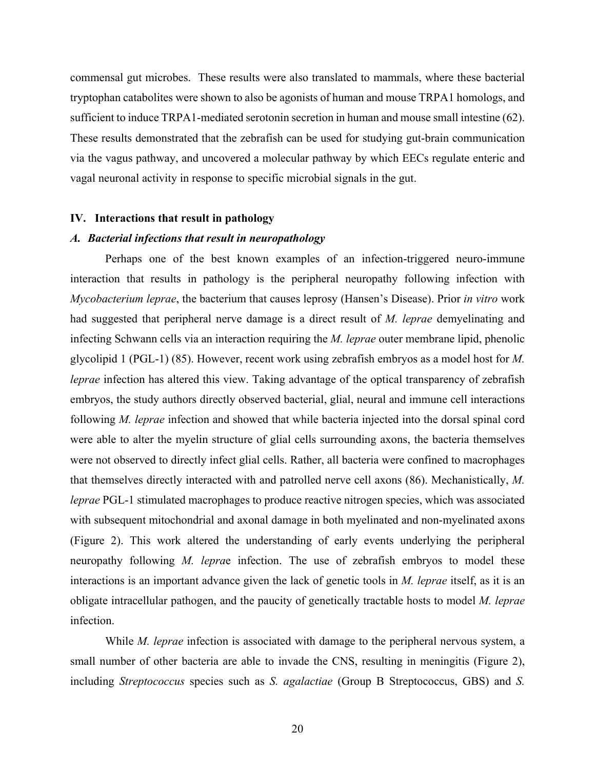commensal gut microbes. These results were also translated to mammals, where these bacterial tryptophan catabolites were shown to also be agonists of human and mouse TRPA1 homologs, and sufficient to induce TRPA1-mediated serotonin secretion in human and mouse small intestine (62). These results demonstrated that the zebrafish can be used for studying gut-brain communication via the vagus pathway, and uncovered a molecular pathway by which EECs regulate enteric and vagal neuronal activity in response to specific microbial signals in the gut.

#### **IV. Interactions that result in pathology**

#### *A. Bacterial infections that result in neuropathology*

Perhaps one of the best known examples of an infection-triggered neuro-immune interaction that results in pathology is the peripheral neuropathy following infection with *Mycobacterium leprae*, the bacterium that causes leprosy (Hansen's Disease). Prior *in vitro* work had suggested that peripheral nerve damage is a direct result of *M. leprae* demyelinating and infecting Schwann cells via an interaction requiring the *M. leprae* outer membrane lipid, phenolic glycolipid 1 (PGL-1) (85). However, recent work using zebrafish embryos as a model host for *M. leprae* infection has altered this view. Taking advantage of the optical transparency of zebrafish embryos, the study authors directly observed bacterial, glial, neural and immune cell interactions following *M. leprae* infection and showed that while bacteria injected into the dorsal spinal cord were able to alter the myelin structure of glial cells surrounding axons, the bacteria themselves were not observed to directly infect glial cells. Rather, all bacteria were confined to macrophages that themselves directly interacted with and patrolled nerve cell axons (86). Mechanistically, *M. leprae* PGL-1 stimulated macrophages to produce reactive nitrogen species, which was associated with subsequent mitochondrial and axonal damage in both myelinated and non-myelinated axons (Figure 2). This work altered the understanding of early events underlying the peripheral neuropathy following *M. lepra*e infection. The use of zebrafish embryos to model these interactions is an important advance given the lack of genetic tools in *M. leprae* itself, as it is an obligate intracellular pathogen, and the paucity of genetically tractable hosts to model *M. leprae* infection.

While *M. leprae* infection is associated with damage to the peripheral nervous system, a small number of other bacteria are able to invade the CNS, resulting in meningitis (Figure 2), including *Streptococcus* species such as *S. agalactiae* (Group B Streptococcus, GBS) and *S.*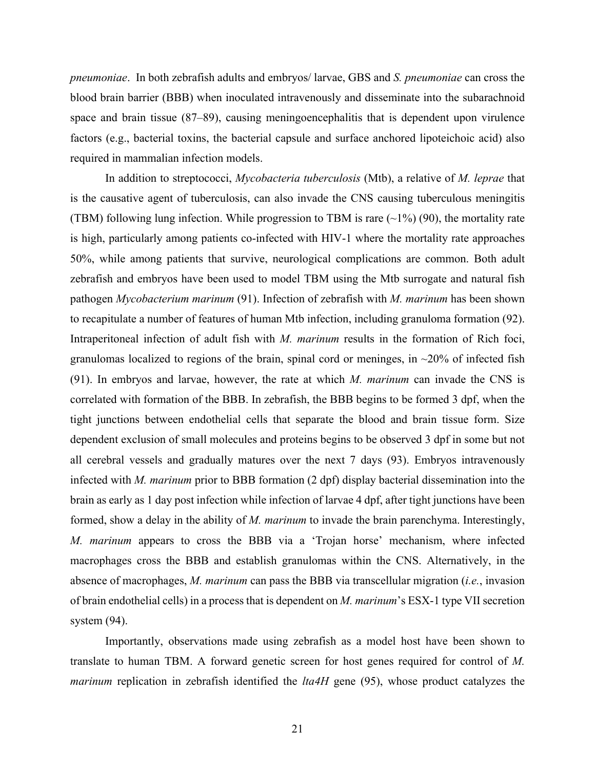*pneumoniae*. In both zebrafish adults and embryos/ larvae, GBS and *S. pneumoniae* can cross the blood brain barrier (BBB) when inoculated intravenously and disseminate into the subarachnoid space and brain tissue (87–89), causing meningoencephalitis that is dependent upon virulence factors (e.g., bacterial toxins, the bacterial capsule and surface anchored lipoteichoic acid) also required in mammalian infection models.

In addition to streptococci, *Mycobacteria tuberculosis* (Mtb), a relative of *M. leprae* that is the causative agent of tuberculosis, can also invade the CNS causing tuberculous meningitis (TBM) following lung infection. While progression to TBM is rare  $(\sim 1\%)$  (90), the mortality rate is high, particularly among patients co-infected with HIV-1 where the mortality rate approaches 50%, while among patients that survive, neurological complications are common. Both adult zebrafish and embryos have been used to model TBM using the Mtb surrogate and natural fish pathogen *Mycobacterium marinum* (91). Infection of zebrafish with *M. marinum* has been shown to recapitulate a number of features of human Mtb infection, including granuloma formation (92). Intraperitoneal infection of adult fish with *M. marinum* results in the formation of Rich foci, granulomas localized to regions of the brain, spinal cord or meninges, in  $\sim$ 20% of infected fish (91). In embryos and larvae, however, the rate at which *M. marinum* can invade the CNS is correlated with formation of the BBB. In zebrafish, the BBB begins to be formed 3 dpf, when the tight junctions between endothelial cells that separate the blood and brain tissue form. Size dependent exclusion of small molecules and proteins begins to be observed 3 dpf in some but not all cerebral vessels and gradually matures over the next 7 days (93). Embryos intravenously infected with *M. marinum* prior to BBB formation (2 dpf) display bacterial dissemination into the brain as early as 1 day post infection while infection of larvae 4 dpf, after tight junctions have been formed, show a delay in the ability of *M. marinum* to invade the brain parenchyma. Interestingly, *M. marinum* appears to cross the BBB via a 'Trojan horse' mechanism, where infected macrophages cross the BBB and establish granulomas within the CNS. Alternatively, in the absence of macrophages, *M. marinum* can pass the BBB via transcellular migration (*i.e.*, invasion of brain endothelial cells) in a process that is dependent on *M. marinum*'s ESX-1 type VII secretion system (94).

Importantly, observations made using zebrafish as a model host have been shown to translate to human TBM. A forward genetic screen for host genes required for control of *M. marinum* replication in zebrafish identified the *lta4H* gene (95), whose product catalyzes the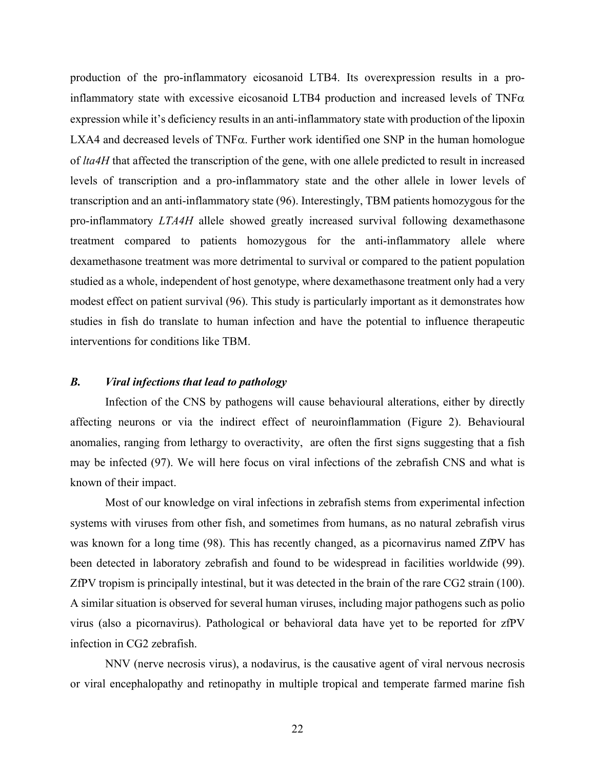production of the pro-inflammatory eicosanoid LTB4. Its overexpression results in a proinflammatory state with excessive eicosanoid LTB4 production and increased levels of  $TNF\alpha$ expression while it's deficiency results in an anti-inflammatory state with production of the lipoxin LXA4 and decreased levels of  $TNF\alpha$ . Further work identified one SNP in the human homologue of *lta4H* that affected the transcription of the gene, with one allele predicted to result in increased levels of transcription and a pro-inflammatory state and the other allele in lower levels of transcription and an anti-inflammatory state (96). Interestingly, TBM patients homozygous for the pro-inflammatory *LTA4H* allele showed greatly increased survival following dexamethasone treatment compared to patients homozygous for the anti-inflammatory allele where dexamethasone treatment was more detrimental to survival or compared to the patient population studied as a whole, independent of host genotype, where dexamethasone treatment only had a very modest effect on patient survival (96). This study is particularly important as it demonstrates how studies in fish do translate to human infection and have the potential to influence therapeutic interventions for conditions like TBM.

#### *B. Viral infections that lead to pathology*

Infection of the CNS by pathogens will cause behavioural alterations, either by directly affecting neurons or via the indirect effect of neuroinflammation (Figure 2). Behavioural anomalies, ranging from lethargy to overactivity, are often the first signs suggesting that a fish may be infected (97). We will here focus on viral infections of the zebrafish CNS and what is known of their impact.

Most of our knowledge on viral infections in zebrafish stems from experimental infection systems with viruses from other fish, and sometimes from humans, as no natural zebrafish virus was known for a long time (98). This has recently changed, as a picornavirus named ZfPV has been detected in laboratory zebrafish and found to be widespread in facilities worldwide (99). ZfPV tropism is principally intestinal, but it was detected in the brain of the rare CG2 strain (100). A similar situation is observed for several human viruses, including major pathogens such as polio virus (also a picornavirus). Pathological or behavioral data have yet to be reported for zfPV infection in CG2 zebrafish.

NNV (nerve necrosis virus), a nodavirus, is the causative agent of viral nervous necrosis or viral encephalopathy and retinopathy in multiple tropical and temperate farmed marine fish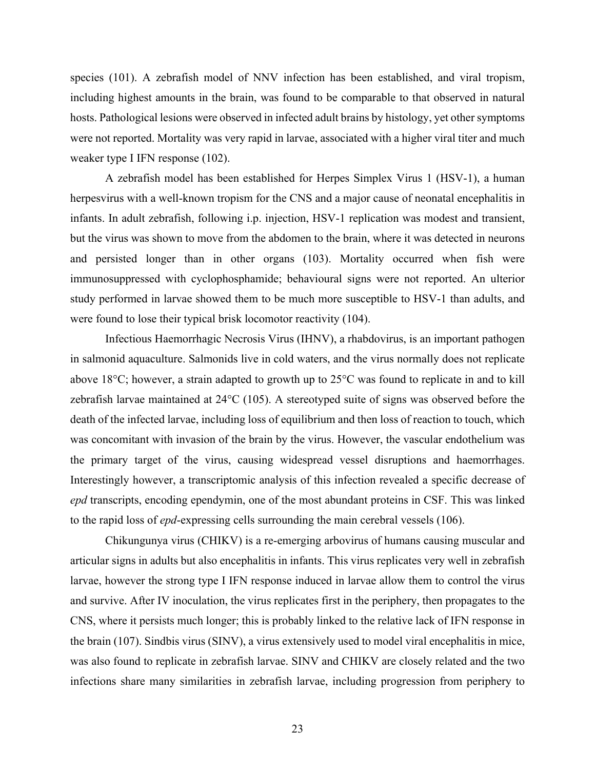species (101). A zebrafish model of NNV infection has been established, and viral tropism, including highest amounts in the brain, was found to be comparable to that observed in natural hosts. Pathological lesions were observed in infected adult brains by histology, yet other symptoms were not reported. Mortality was very rapid in larvae, associated with a higher viral titer and much weaker type I IFN response (102).

A zebrafish model has been established for Herpes Simplex Virus 1 (HSV-1), a human herpesvirus with a well-known tropism for the CNS and a major cause of neonatal encephalitis in infants. In adult zebrafish, following i.p. injection, HSV-1 replication was modest and transient, but the virus was shown to move from the abdomen to the brain, where it was detected in neurons and persisted longer than in other organs (103). Mortality occurred when fish were immunosuppressed with cyclophosphamide; behavioural signs were not reported. An ulterior study performed in larvae showed them to be much more susceptible to HSV-1 than adults, and were found to lose their typical brisk locomotor reactivity (104).

Infectious Haemorrhagic Necrosis Virus (IHNV), a rhabdovirus, is an important pathogen in salmonid aquaculture. Salmonids live in cold waters, and the virus normally does not replicate above 18°C; however, a strain adapted to growth up to 25°C was found to replicate in and to kill zebrafish larvae maintained at 24°C (105). A stereotyped suite of signs was observed before the death of the infected larvae, including loss of equilibrium and then loss of reaction to touch, which was concomitant with invasion of the brain by the virus. However, the vascular endothelium was the primary target of the virus, causing widespread vessel disruptions and haemorrhages. Interestingly however, a transcriptomic analysis of this infection revealed a specific decrease of *epd* transcripts, encoding ependymin, one of the most abundant proteins in CSF. This was linked to the rapid loss of *epd*-expressing cells surrounding the main cerebral vessels (106).

Chikungunya virus (CHIKV) is a re-emerging arbovirus of humans causing muscular and articular signs in adults but also encephalitis in infants. This virus replicates very well in zebrafish larvae, however the strong type I IFN response induced in larvae allow them to control the virus and survive. After IV inoculation, the virus replicates first in the periphery, then propagates to the CNS, where it persists much longer; this is probably linked to the relative lack of IFN response in the brain (107). Sindbis virus (SINV), a virus extensively used to model viral encephalitis in mice, was also found to replicate in zebrafish larvae. SINV and CHIKV are closely related and the two infections share many similarities in zebrafish larvae, including progression from periphery to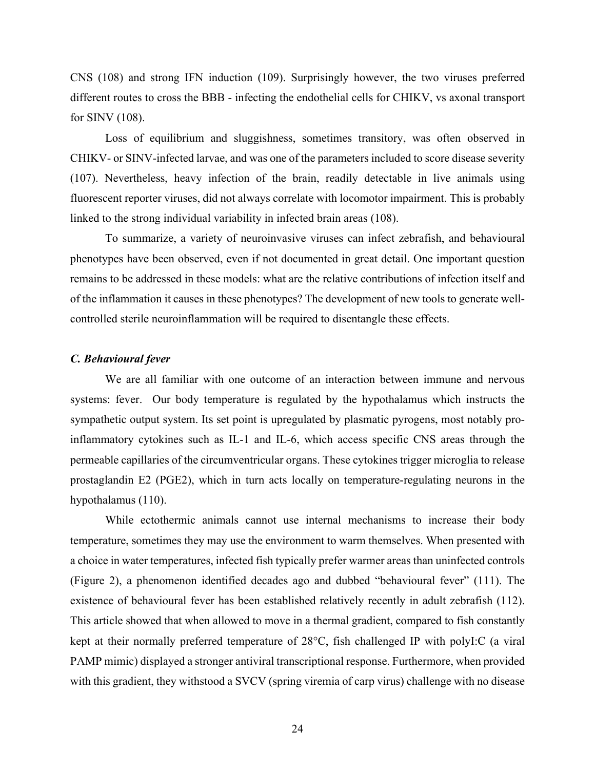CNS (108) and strong IFN induction (109). Surprisingly however, the two viruses preferred different routes to cross the BBB - infecting the endothelial cells for CHIKV, vs axonal transport for SINV (108).

Loss of equilibrium and sluggishness, sometimes transitory, was often observed in CHIKV- or SINV-infected larvae, and was one of the parameters included to score disease severity (107). Nevertheless, heavy infection of the brain, readily detectable in live animals using fluorescent reporter viruses, did not always correlate with locomotor impairment. This is probably linked to the strong individual variability in infected brain areas (108).

To summarize, a variety of neuroinvasive viruses can infect zebrafish, and behavioural phenotypes have been observed, even if not documented in great detail. One important question remains to be addressed in these models: what are the relative contributions of infection itself and of the inflammation it causes in these phenotypes? The development of new tools to generate wellcontrolled sterile neuroinflammation will be required to disentangle these effects.

#### *C. Behavioural fever*

We are all familiar with one outcome of an interaction between immune and nervous systems: fever. Our body temperature is regulated by the hypothalamus which instructs the sympathetic output system. Its set point is upregulated by plasmatic pyrogens, most notably proinflammatory cytokines such as IL-1 and IL-6, which access specific CNS areas through the permeable capillaries of the circumventricular organs. These cytokines trigger microglia to release prostaglandin E2 (PGE2), which in turn acts locally on temperature-regulating neurons in the hypothalamus (110).

While ectothermic animals cannot use internal mechanisms to increase their body temperature, sometimes they may use the environment to warm themselves. When presented with a choice in water temperatures, infected fish typically prefer warmer areas than uninfected controls (Figure 2), a phenomenon identified decades ago and dubbed "behavioural fever" (111). The existence of behavioural fever has been established relatively recently in adult zebrafish (112). This article showed that when allowed to move in a thermal gradient, compared to fish constantly kept at their normally preferred temperature of 28°C, fish challenged IP with polyI:C (a viral PAMP mimic) displayed a stronger antiviral transcriptional response. Furthermore, when provided with this gradient, they withstood a SVCV (spring viremia of carp virus) challenge with no disease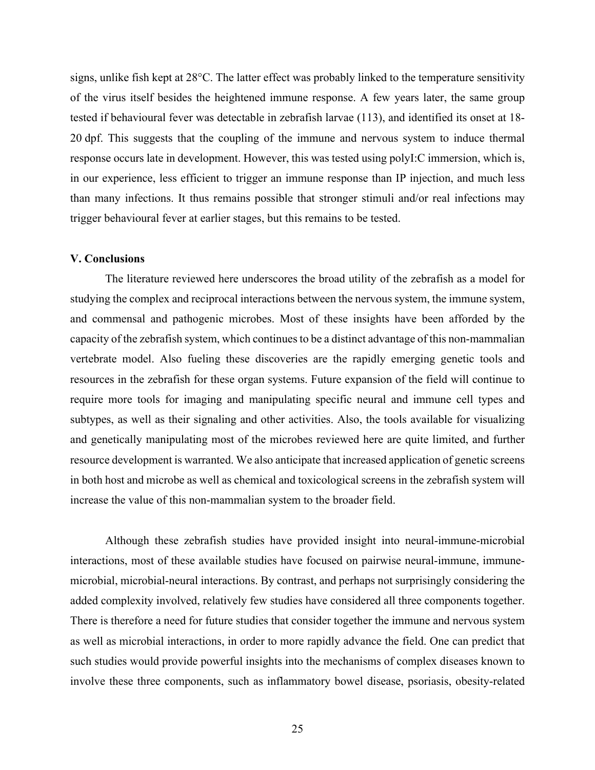signs, unlike fish kept at 28°C. The latter effect was probably linked to the temperature sensitivity of the virus itself besides the heightened immune response. A few years later, the same group tested if behavioural fever was detectable in zebrafish larvae (113), and identified its onset at 18- 20 dpf. This suggests that the coupling of the immune and nervous system to induce thermal response occurs late in development. However, this was tested using polyI:C immersion, which is, in our experience, less efficient to trigger an immune response than IP injection, and much less than many infections. It thus remains possible that stronger stimuli and/or real infections may trigger behavioural fever at earlier stages, but this remains to be tested.

#### **V. Conclusions**

The literature reviewed here underscores the broad utility of the zebrafish as a model for studying the complex and reciprocal interactions between the nervous system, the immune system, and commensal and pathogenic microbes. Most of these insights have been afforded by the capacity of the zebrafish system, which continues to be a distinct advantage of this non-mammalian vertebrate model. Also fueling these discoveries are the rapidly emerging genetic tools and resources in the zebrafish for these organ systems. Future expansion of the field will continue to require more tools for imaging and manipulating specific neural and immune cell types and subtypes, as well as their signaling and other activities. Also, the tools available for visualizing and genetically manipulating most of the microbes reviewed here are quite limited, and further resource development is warranted. We also anticipate that increased application of genetic screens in both host and microbe as well as chemical and toxicological screens in the zebrafish system will increase the value of this non-mammalian system to the broader field.

Although these zebrafish studies have provided insight into neural-immune-microbial interactions, most of these available studies have focused on pairwise neural-immune, immunemicrobial, microbial-neural interactions. By contrast, and perhaps not surprisingly considering the added complexity involved, relatively few studies have considered all three components together. There is therefore a need for future studies that consider together the immune and nervous system as well as microbial interactions, in order to more rapidly advance the field. One can predict that such studies would provide powerful insights into the mechanisms of complex diseases known to involve these three components, such as inflammatory bowel disease, psoriasis, obesity-related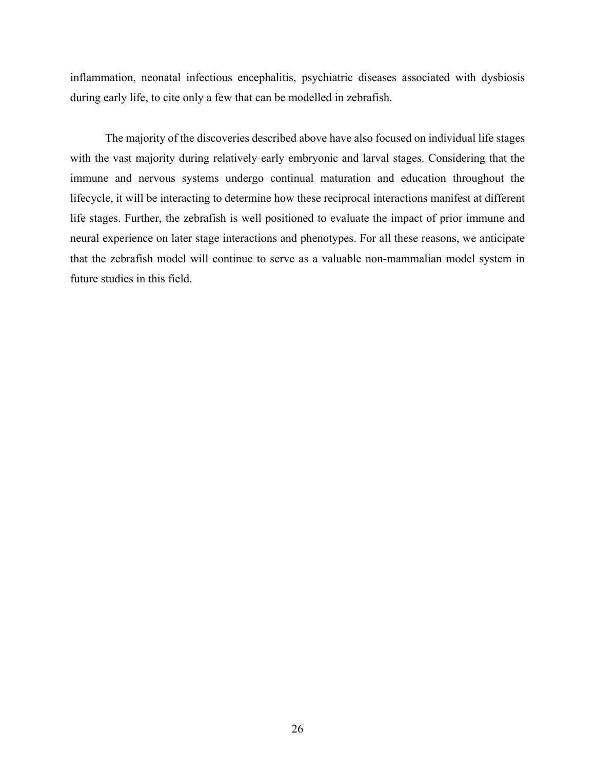inflammation, neonatal infectious encephalitis, psychiatric diseases associated with dysbiosis during early life, to cite only a few that can be modelled in zebrafish.

The majority of the discoveries described above have also focused on individual life stages with the vast majority during relatively early embryonic and larval stages. Considering that the immune and nervous systems undergo continual maturation and education throughout the lifecycle, it will be interacting to determine how these reciprocal interactions manifest at different life stages. Further, the zebrafish is well positioned to evaluate the impact of prior immune and neural experience on later stage interactions and phenotypes. For all these reasons, we anticipate that the zebrafish model will continue to serve as a valuable non-mammalian model system in future studies in this field.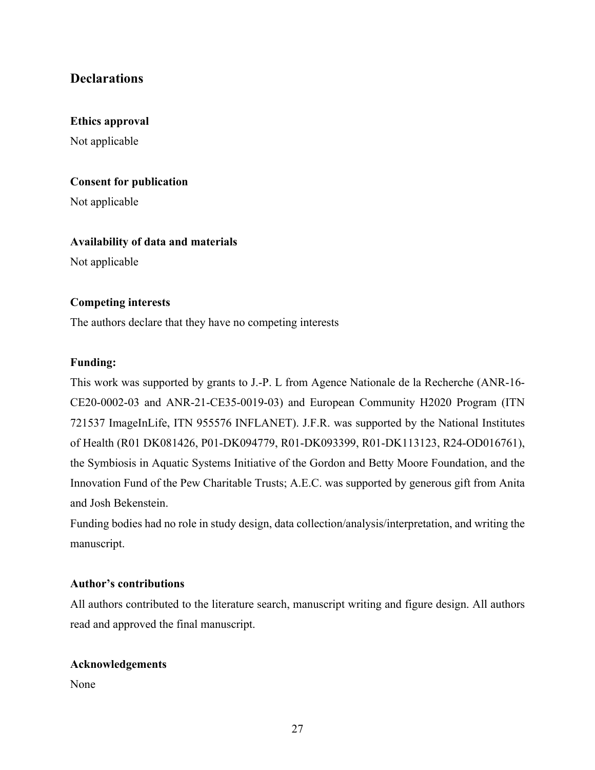# **Declarations**

## **Ethics approval**

Not applicable

### **Consent for publication**

Not applicable

#### **Availability of data and materials**

Not applicable

#### **Competing interests**

The authors declare that they have no competing interests

## **Funding:**

This work was supported by grants to J.-P. L from Agence Nationale de la Recherche (ANR-16- CE20-0002-03 and ANR-21-CE35-0019-03) and European Community H2020 Program (ITN 721537 ImageInLife, ITN 955576 INFLANET). J.F.R. was supported by the National Institutes of Health (R01 DK081426, P01-DK094779, R01-DK093399, R01-DK113123, R24-OD016761), the Symbiosis in Aquatic Systems Initiative of the Gordon and Betty Moore Foundation, and the Innovation Fund of the Pew Charitable Trusts; A.E.C. was supported by generous gift from Anita and Josh Bekenstein.

Funding bodies had no role in study design, data collection/analysis/interpretation, and writing the manuscript.

#### **Author's contributions**

All authors contributed to the literature search, manuscript writing and figure design. All authors read and approved the final manuscript.

#### **Acknowledgements**

None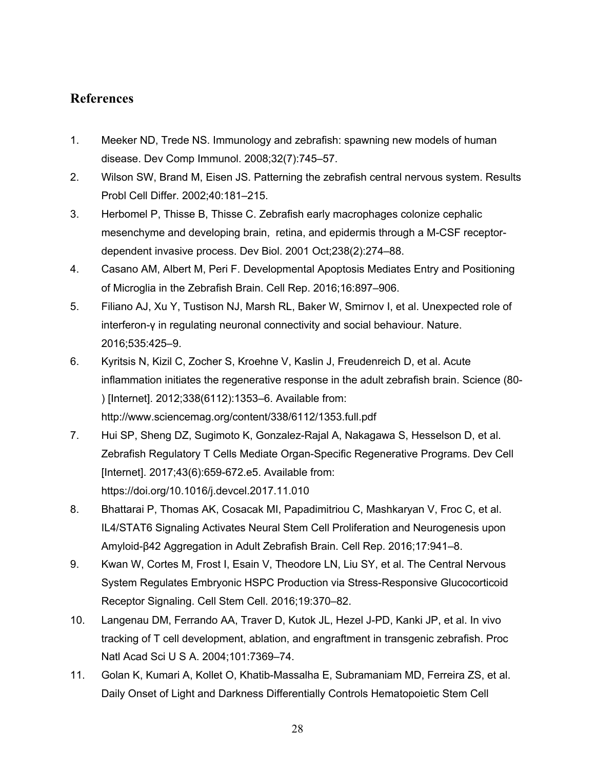# **References**

- 1. Meeker ND, Trede NS. Immunology and zebrafish: spawning new models of human disease. Dev Comp Immunol. 2008;32(7):745–57.
- 2. Wilson SW, Brand M, Eisen JS. Patterning the zebrafish central nervous system. Results Probl Cell Differ. 2002;40:181–215.
- 3. Herbomel P, Thisse B, Thisse C. Zebrafish early macrophages colonize cephalic mesenchyme and developing brain, retina, and epidermis through a M-CSF receptordependent invasive process. Dev Biol. 2001 Oct;238(2):274–88.
- 4. Casano AM, Albert M, Peri F. Developmental Apoptosis Mediates Entry and Positioning of Microglia in the Zebrafish Brain. Cell Rep. 2016;16:897–906.
- 5. Filiano AJ, Xu Y, Tustison NJ, Marsh RL, Baker W, Smirnov I, et al. Unexpected role of interferon-γ in regulating neuronal connectivity and social behaviour. Nature. 2016;535:425–9.
- 6. Kyritsis N, Kizil C, Zocher S, Kroehne V, Kaslin J, Freudenreich D, et al. Acute inflammation initiates the regenerative response in the adult zebrafish brain. Science (80- ) [Internet]. 2012;338(6112):1353–6. Available from: http://www.sciencemag.org/content/338/6112/1353.full.pdf
- 7. Hui SP, Sheng DZ, Sugimoto K, Gonzalez-Rajal A, Nakagawa S, Hesselson D, et al. Zebrafish Regulatory T Cells Mediate Organ-Specific Regenerative Programs. Dev Cell [Internet]. 2017;43(6):659-672.e5. Available from: https://doi.org/10.1016/j.devcel.2017.11.010
- 8. Bhattarai P, Thomas AK, Cosacak MI, Papadimitriou C, Mashkaryan V, Froc C, et al. IL4/STAT6 Signaling Activates Neural Stem Cell Proliferation and Neurogenesis upon Amyloid-β42 Aggregation in Adult Zebrafish Brain. Cell Rep. 2016;17:941–8.
- 9. Kwan W, Cortes M, Frost I, Esain V, Theodore LN, Liu SY, et al. The Central Nervous System Regulates Embryonic HSPC Production via Stress-Responsive Glucocorticoid Receptor Signaling. Cell Stem Cell. 2016;19:370–82.
- 10. Langenau DM, Ferrando AA, Traver D, Kutok JL, Hezel J-PD, Kanki JP, et al. In vivo tracking of T cell development, ablation, and engraftment in transgenic zebrafish. Proc Natl Acad Sci U S A. 2004;101:7369–74.
- 11. Golan K, Kumari A, Kollet O, Khatib-Massalha E, Subramaniam MD, Ferreira ZS, et al. Daily Onset of Light and Darkness Differentially Controls Hematopoietic Stem Cell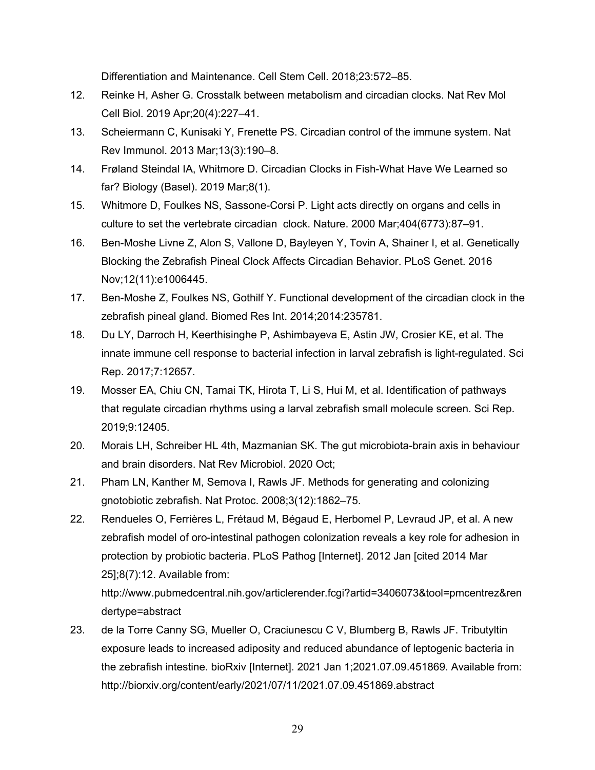Differentiation and Maintenance. Cell Stem Cell. 2018;23:572–85.

- 12. Reinke H, Asher G. Crosstalk between metabolism and circadian clocks. Nat Rev Mol Cell Biol. 2019 Apr;20(4):227–41.
- 13. Scheiermann C, Kunisaki Y, Frenette PS. Circadian control of the immune system. Nat Rev Immunol. 2013 Mar;13(3):190–8.
- 14. Frøland Steindal IA, Whitmore D. Circadian Clocks in Fish-What Have We Learned so far? Biology (Basel). 2019 Mar;8(1).
- 15. Whitmore D, Foulkes NS, Sassone-Corsi P. Light acts directly on organs and cells in culture to set the vertebrate circadian clock. Nature. 2000 Mar;404(6773):87–91.
- 16. Ben-Moshe Livne Z, Alon S, Vallone D, Bayleyen Y, Tovin A, Shainer I, et al. Genetically Blocking the Zebrafish Pineal Clock Affects Circadian Behavior. PLoS Genet. 2016 Nov;12(11):e1006445.
- 17. Ben-Moshe Z, Foulkes NS, Gothilf Y. Functional development of the circadian clock in the zebrafish pineal gland. Biomed Res Int. 2014;2014:235781.
- 18. Du LY, Darroch H, Keerthisinghe P, Ashimbayeva E, Astin JW, Crosier KE, et al. The innate immune cell response to bacterial infection in larval zebrafish is light-regulated. Sci Rep. 2017;7:12657.
- 19. Mosser EA, Chiu CN, Tamai TK, Hirota T, Li S, Hui M, et al. Identification of pathways that regulate circadian rhythms using a larval zebrafish small molecule screen. Sci Rep. 2019;9:12405.
- 20. Morais LH, Schreiber HL 4th, Mazmanian SK. The gut microbiota-brain axis in behaviour and brain disorders. Nat Rev Microbiol. 2020 Oct;
- 21. Pham LN, Kanther M, Semova I, Rawls JF. Methods for generating and colonizing gnotobiotic zebrafish. Nat Protoc. 2008;3(12):1862–75.
- 22. Rendueles O, Ferrières L, Frétaud M, Bégaud E, Herbomel P, Levraud JP, et al. A new zebrafish model of oro-intestinal pathogen colonization reveals a key role for adhesion in protection by probiotic bacteria. PLoS Pathog [Internet]. 2012 Jan [cited 2014 Mar 25];8(7):12. Available from:

http://www.pubmedcentral.nih.gov/articlerender.fcgi?artid=3406073&tool=pmcentrez&ren dertype=abstract

23. de la Torre Canny SG, Mueller O, Craciunescu C V, Blumberg B, Rawls JF. Tributyltin exposure leads to increased adiposity and reduced abundance of leptogenic bacteria in the zebrafish intestine. bioRxiv [Internet]. 2021 Jan 1;2021.07.09.451869. Available from: http://biorxiv.org/content/early/2021/07/11/2021.07.09.451869.abstract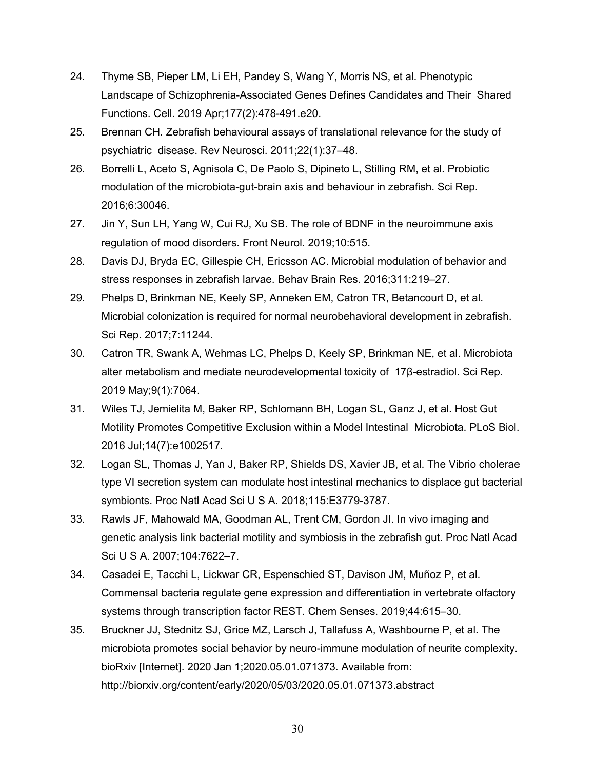- 24. Thyme SB, Pieper LM, Li EH, Pandey S, Wang Y, Morris NS, et al. Phenotypic Landscape of Schizophrenia-Associated Genes Defines Candidates and Their Shared Functions. Cell. 2019 Apr;177(2):478-491.e20.
- 25. Brennan CH. Zebrafish behavioural assays of translational relevance for the study of psychiatric disease. Rev Neurosci. 2011;22(1):37–48.
- 26. Borrelli L, Aceto S, Agnisola C, De Paolo S, Dipineto L, Stilling RM, et al. Probiotic modulation of the microbiota-gut-brain axis and behaviour in zebrafish. Sci Rep. 2016;6:30046.
- 27. Jin Y, Sun LH, Yang W, Cui RJ, Xu SB. The role of BDNF in the neuroimmune axis regulation of mood disorders. Front Neurol. 2019;10:515.
- 28. Davis DJ, Bryda EC, Gillespie CH, Ericsson AC. Microbial modulation of behavior and stress responses in zebrafish larvae. Behav Brain Res. 2016;311:219–27.
- 29. Phelps D, Brinkman NE, Keely SP, Anneken EM, Catron TR, Betancourt D, et al. Microbial colonization is required for normal neurobehavioral development in zebrafish. Sci Rep. 2017;7:11244.
- 30. Catron TR, Swank A, Wehmas LC, Phelps D, Keely SP, Brinkman NE, et al. Microbiota alter metabolism and mediate neurodevelopmental toxicity of 17β-estradiol. Sci Rep. 2019 May;9(1):7064.
- 31. Wiles TJ, Jemielita M, Baker RP, Schlomann BH, Logan SL, Ganz J, et al. Host Gut Motility Promotes Competitive Exclusion within a Model Intestinal Microbiota. PLoS Biol. 2016 Jul;14(7):e1002517.
- 32. Logan SL, Thomas J, Yan J, Baker RP, Shields DS, Xavier JB, et al. The Vibrio cholerae type VI secretion system can modulate host intestinal mechanics to displace gut bacterial symbionts. Proc Natl Acad Sci U S A. 2018;115:E3779-3787.
- 33. Rawls JF, Mahowald MA, Goodman AL, Trent CM, Gordon JI. In vivo imaging and genetic analysis link bacterial motility and symbiosis in the zebrafish gut. Proc Natl Acad Sci U S A. 2007;104:7622–7.
- 34. Casadei E, Tacchi L, Lickwar CR, Espenschied ST, Davison JM, Muñoz P, et al. Commensal bacteria regulate gene expression and differentiation in vertebrate olfactory systems through transcription factor REST. Chem Senses. 2019;44:615–30.
- 35. Bruckner JJ, Stednitz SJ, Grice MZ, Larsch J, Tallafuss A, Washbourne P, et al. The microbiota promotes social behavior by neuro-immune modulation of neurite complexity. bioRxiv [Internet]. 2020 Jan 1;2020.05.01.071373. Available from: http://biorxiv.org/content/early/2020/05/03/2020.05.01.071373.abstract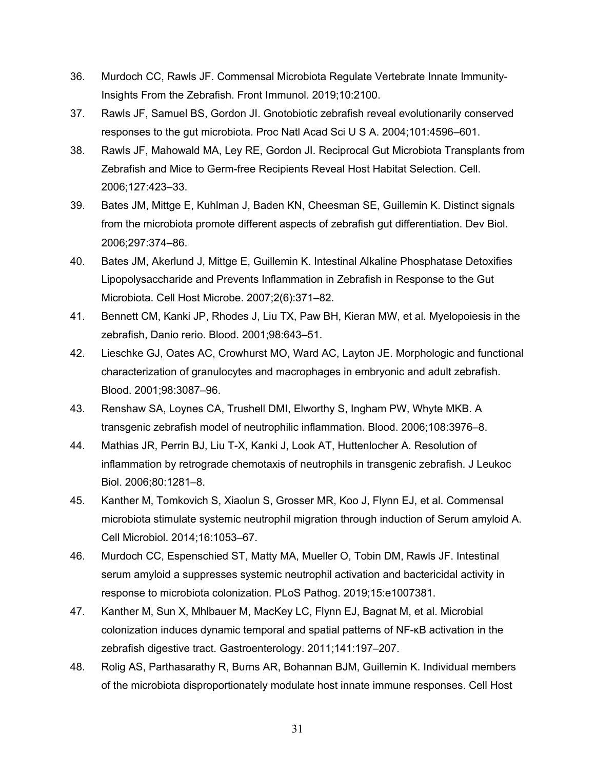- 36. Murdoch CC, Rawls JF. Commensal Microbiota Regulate Vertebrate Innate Immunity-Insights From the Zebrafish. Front Immunol. 2019;10:2100.
- 37. Rawls JF, Samuel BS, Gordon JI. Gnotobiotic zebrafish reveal evolutionarily conserved responses to the gut microbiota. Proc Natl Acad Sci U S A. 2004;101:4596–601.
- 38. Rawls JF, Mahowald MA, Ley RE, Gordon JI. Reciprocal Gut Microbiota Transplants from Zebrafish and Mice to Germ-free Recipients Reveal Host Habitat Selection. Cell. 2006;127:423–33.
- 39. Bates JM, Mittge E, Kuhlman J, Baden KN, Cheesman SE, Guillemin K. Distinct signals from the microbiota promote different aspects of zebrafish gut differentiation. Dev Biol. 2006;297:374–86.
- 40. Bates JM, Akerlund J, Mittge E, Guillemin K. Intestinal Alkaline Phosphatase Detoxifies Lipopolysaccharide and Prevents Inflammation in Zebrafish in Response to the Gut Microbiota. Cell Host Microbe. 2007;2(6):371–82.
- 41. Bennett CM, Kanki JP, Rhodes J, Liu TX, Paw BH, Kieran MW, et al. Myelopoiesis in the zebrafish, Danio rerio. Blood. 2001;98:643–51.
- 42. Lieschke GJ, Oates AC, Crowhurst MO, Ward AC, Layton JE. Morphologic and functional characterization of granulocytes and macrophages in embryonic and adult zebrafish. Blood. 2001;98:3087–96.
- 43. Renshaw SA, Loynes CA, Trushell DMI, Elworthy S, Ingham PW, Whyte MKB. A transgenic zebrafish model of neutrophilic inflammation. Blood. 2006;108:3976–8.
- 44. Mathias JR, Perrin BJ, Liu T-X, Kanki J, Look AT, Huttenlocher A. Resolution of inflammation by retrograde chemotaxis of neutrophils in transgenic zebrafish. J Leukoc Biol. 2006;80:1281–8.
- 45. Kanther M, Tomkovich S, Xiaolun S, Grosser MR, Koo J, Flynn EJ, et al. Commensal microbiota stimulate systemic neutrophil migration through induction of Serum amyloid A. Cell Microbiol. 2014;16:1053–67.
- 46. Murdoch CC, Espenschied ST, Matty MA, Mueller O, Tobin DM, Rawls JF. Intestinal serum amyloid a suppresses systemic neutrophil activation and bactericidal activity in response to microbiota colonization. PLoS Pathog. 2019;15:e1007381.
- 47. Kanther M, Sun X, Mhlbauer M, MacKey LC, Flynn EJ, Bagnat M, et al. Microbial colonization induces dynamic temporal and spatial patterns of NF-κB activation in the zebrafish digestive tract. Gastroenterology. 2011;141:197–207.
- 48. Rolig AS, Parthasarathy R, Burns AR, Bohannan BJM, Guillemin K. Individual members of the microbiota disproportionately modulate host innate immune responses. Cell Host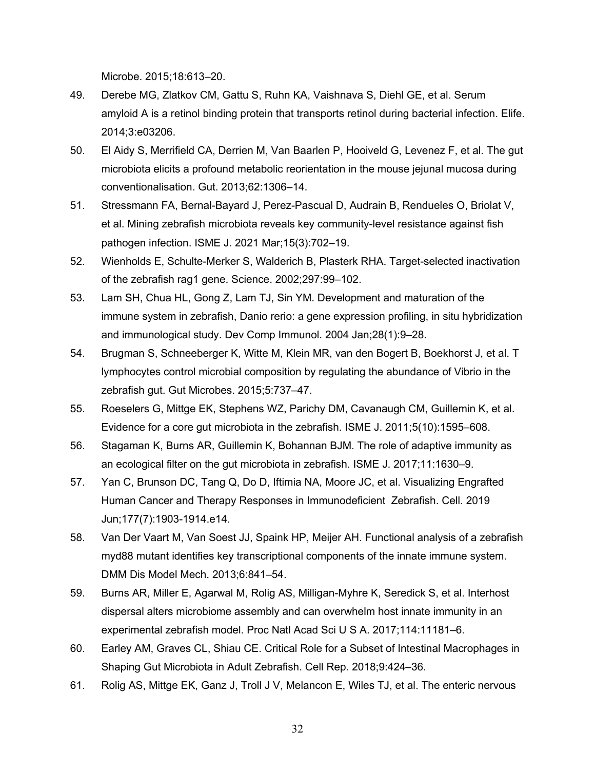Microbe. 2015;18:613–20.

- 49. Derebe MG, Zlatkov CM, Gattu S, Ruhn KA, Vaishnava S, Diehl GE, et al. Serum amyloid A is a retinol binding protein that transports retinol during bacterial infection. Elife. 2014;3:e03206.
- 50. El Aidy S, Merrifield CA, Derrien M, Van Baarlen P, Hooiveld G, Levenez F, et al. The gut microbiota elicits a profound metabolic reorientation in the mouse jejunal mucosa during conventionalisation. Gut. 2013;62:1306–14.
- 51. Stressmann FA, Bernal-Bayard J, Perez-Pascual D, Audrain B, Rendueles O, Briolat V, et al. Mining zebrafish microbiota reveals key community-level resistance against fish pathogen infection. ISME J. 2021 Mar;15(3):702–19.
- 52. Wienholds E, Schulte-Merker S, Walderich B, Plasterk RHA. Target-selected inactivation of the zebrafish rag1 gene. Science. 2002;297:99–102.
- 53. Lam SH, Chua HL, Gong Z, Lam TJ, Sin YM. Development and maturation of the immune system in zebrafish, Danio rerio: a gene expression profiling, in situ hybridization and immunological study. Dev Comp Immunol. 2004 Jan;28(1):9–28.
- 54. Brugman S, Schneeberger K, Witte M, Klein MR, van den Bogert B, Boekhorst J, et al. T lymphocytes control microbial composition by regulating the abundance of Vibrio in the zebrafish gut. Gut Microbes. 2015;5:737–47.
- 55. Roeselers G, Mittge EK, Stephens WZ, Parichy DM, Cavanaugh CM, Guillemin K, et al. Evidence for a core gut microbiota in the zebrafish. ISME J. 2011;5(10):1595–608.
- 56. Stagaman K, Burns AR, Guillemin K, Bohannan BJM. The role of adaptive immunity as an ecological filter on the gut microbiota in zebrafish. ISME J. 2017;11:1630–9.
- 57. Yan C, Brunson DC, Tang Q, Do D, Iftimia NA, Moore JC, et al. Visualizing Engrafted Human Cancer and Therapy Responses in Immunodeficient Zebrafish. Cell. 2019 Jun;177(7):1903-1914.e14.
- 58. Van Der Vaart M, Van Soest JJ, Spaink HP, Meijer AH. Functional analysis of a zebrafish myd88 mutant identifies key transcriptional components of the innate immune system. DMM Dis Model Mech. 2013;6:841–54.
- 59. Burns AR, Miller E, Agarwal M, Rolig AS, Milligan-Myhre K, Seredick S, et al. Interhost dispersal alters microbiome assembly and can overwhelm host innate immunity in an experimental zebrafish model. Proc Natl Acad Sci U S A. 2017;114:11181–6.
- 60. Earley AM, Graves CL, Shiau CE. Critical Role for a Subset of Intestinal Macrophages in Shaping Gut Microbiota in Adult Zebrafish. Cell Rep. 2018;9:424–36.
- 61. Rolig AS, Mittge EK, Ganz J, Troll J V, Melancon E, Wiles TJ, et al. The enteric nervous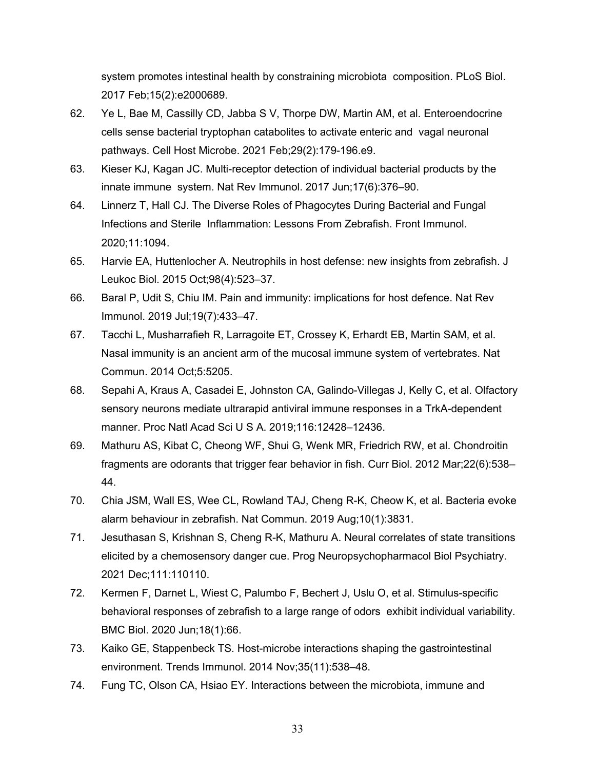system promotes intestinal health by constraining microbiota composition. PLoS Biol. 2017 Feb;15(2):e2000689.

- 62. Ye L, Bae M, Cassilly CD, Jabba S V, Thorpe DW, Martin AM, et al. Enteroendocrine cells sense bacterial tryptophan catabolites to activate enteric and vagal neuronal pathways. Cell Host Microbe. 2021 Feb;29(2):179-196.e9.
- 63. Kieser KJ, Kagan JC. Multi-receptor detection of individual bacterial products by the innate immune system. Nat Rev Immunol. 2017 Jun;17(6):376–90.
- 64. Linnerz T, Hall CJ. The Diverse Roles of Phagocytes During Bacterial and Fungal Infections and Sterile Inflammation: Lessons From Zebrafish. Front Immunol. 2020;11:1094.
- 65. Harvie EA, Huttenlocher A. Neutrophils in host defense: new insights from zebrafish. J Leukoc Biol. 2015 Oct;98(4):523–37.
- 66. Baral P, Udit S, Chiu IM. Pain and immunity: implications for host defence. Nat Rev Immunol. 2019 Jul;19(7):433–47.
- 67. Tacchi L, Musharrafieh R, Larragoite ET, Crossey K, Erhardt EB, Martin SAM, et al. Nasal immunity is an ancient arm of the mucosal immune system of vertebrates. Nat Commun. 2014 Oct;5:5205.
- 68. Sepahi A, Kraus A, Casadei E, Johnston CA, Galindo-Villegas J, Kelly C, et al. Olfactory sensory neurons mediate ultrarapid antiviral immune responses in a TrkA-dependent manner. Proc Natl Acad Sci U S A. 2019;116:12428–12436.
- 69. Mathuru AS, Kibat C, Cheong WF, Shui G, Wenk MR, Friedrich RW, et al. Chondroitin fragments are odorants that trigger fear behavior in fish. Curr Biol. 2012 Mar;22(6):538– 44.
- 70. Chia JSM, Wall ES, Wee CL, Rowland TAJ, Cheng R-K, Cheow K, et al. Bacteria evoke alarm behaviour in zebrafish. Nat Commun. 2019 Aug;10(1):3831.
- 71. Jesuthasan S, Krishnan S, Cheng R-K, Mathuru A. Neural correlates of state transitions elicited by a chemosensory danger cue. Prog Neuropsychopharmacol Biol Psychiatry. 2021 Dec;111:110110.
- 72. Kermen F, Darnet L, Wiest C, Palumbo F, Bechert J, Uslu O, et al. Stimulus-specific behavioral responses of zebrafish to a large range of odors exhibit individual variability. BMC Biol. 2020 Jun;18(1):66.
- 73. Kaiko GE, Stappenbeck TS. Host-microbe interactions shaping the gastrointestinal environment. Trends Immunol. 2014 Nov;35(11):538–48.
- 74. Fung TC, Olson CA, Hsiao EY. Interactions between the microbiota, immune and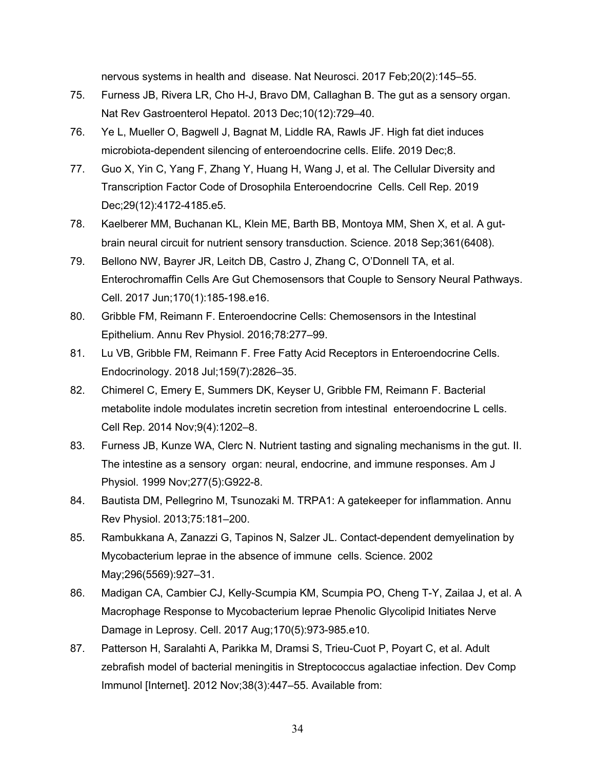nervous systems in health and disease. Nat Neurosci. 2017 Feb;20(2):145–55.

- 75. Furness JB, Rivera LR, Cho H-J, Bravo DM, Callaghan B. The gut as a sensory organ. Nat Rev Gastroenterol Hepatol. 2013 Dec;10(12):729–40.
- 76. Ye L, Mueller O, Bagwell J, Bagnat M, Liddle RA, Rawls JF. High fat diet induces microbiota-dependent silencing of enteroendocrine cells. Elife. 2019 Dec;8.
- 77. Guo X, Yin C, Yang F, Zhang Y, Huang H, Wang J, et al. The Cellular Diversity and Transcription Factor Code of Drosophila Enteroendocrine Cells. Cell Rep. 2019 Dec;29(12):4172-4185.e5.
- 78. Kaelberer MM, Buchanan KL, Klein ME, Barth BB, Montoya MM, Shen X, et al. A gutbrain neural circuit for nutrient sensory transduction. Science. 2018 Sep;361(6408).
- 79. Bellono NW, Bayrer JR, Leitch DB, Castro J, Zhang C, O'Donnell TA, et al. Enterochromaffin Cells Are Gut Chemosensors that Couple to Sensory Neural Pathways. Cell. 2017 Jun;170(1):185-198.e16.
- 80. Gribble FM, Reimann F. Enteroendocrine Cells: Chemosensors in the Intestinal Epithelium. Annu Rev Physiol. 2016;78:277–99.
- 81. Lu VB, Gribble FM, Reimann F. Free Fatty Acid Receptors in Enteroendocrine Cells. Endocrinology. 2018 Jul;159(7):2826–35.
- 82. Chimerel C, Emery E, Summers DK, Keyser U, Gribble FM, Reimann F. Bacterial metabolite indole modulates incretin secretion from intestinal enteroendocrine L cells. Cell Rep. 2014 Nov;9(4):1202–8.
- 83. Furness JB, Kunze WA, Clerc N. Nutrient tasting and signaling mechanisms in the gut. II. The intestine as a sensory organ: neural, endocrine, and immune responses. Am J Physiol. 1999 Nov;277(5):G922-8.
- 84. Bautista DM, Pellegrino M, Tsunozaki M. TRPA1: A gatekeeper for inflammation. Annu Rev Physiol. 2013;75:181–200.
- 85. Rambukkana A, Zanazzi G, Tapinos N, Salzer JL. Contact-dependent demyelination by Mycobacterium leprae in the absence of immune cells. Science. 2002 May;296(5569):927–31.
- 86. Madigan CA, Cambier CJ, Kelly-Scumpia KM, Scumpia PO, Cheng T-Y, Zailaa J, et al. A Macrophage Response to Mycobacterium leprae Phenolic Glycolipid Initiates Nerve Damage in Leprosy. Cell. 2017 Aug;170(5):973-985.e10.
- 87. Patterson H, Saralahti A, Parikka M, Dramsi S, Trieu-Cuot P, Poyart C, et al. Adult zebrafish model of bacterial meningitis in Streptococcus agalactiae infection. Dev Comp Immunol [Internet]. 2012 Nov;38(3):447–55. Available from: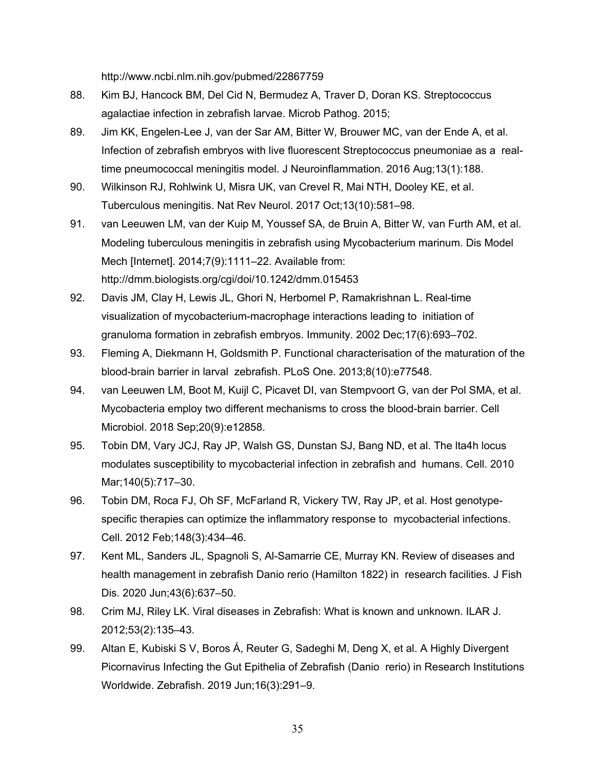http://www.ncbi.nlm.nih.gov/pubmed/22867759

- 88. Kim BJ, Hancock BM, Del Cid N, Bermudez A, Traver D, Doran KS. Streptococcus agalactiae infection in zebrafish larvae. Microb Pathog. 2015;
- 89. Jim KK, Engelen-Lee J, van der Sar AM, Bitter W, Brouwer MC, van der Ende A, et al. Infection of zebrafish embryos with live fluorescent Streptococcus pneumoniae as a realtime pneumococcal meningitis model. J Neuroinflammation. 2016 Aug;13(1):188.
- 90. Wilkinson RJ, Rohlwink U, Misra UK, van Crevel R, Mai NTH, Dooley KE, et al. Tuberculous meningitis. Nat Rev Neurol. 2017 Oct;13(10):581–98.
- 91. van Leeuwen LM, van der Kuip M, Youssef SA, de Bruin A, Bitter W, van Furth AM, et al. Modeling tuberculous meningitis in zebrafish using Mycobacterium marinum. Dis Model Mech [Internet]. 2014;7(9):1111–22. Available from: http://dmm.biologists.org/cgi/doi/10.1242/dmm.015453
- 92. Davis JM, Clay H, Lewis JL, Ghori N, Herbomel P, Ramakrishnan L. Real-time visualization of mycobacterium-macrophage interactions leading to initiation of granuloma formation in zebrafish embryos. Immunity. 2002 Dec;17(6):693–702.
- 93. Fleming A, Diekmann H, Goldsmith P. Functional characterisation of the maturation of the blood-brain barrier in larval zebrafish. PLoS One. 2013;8(10):e77548.
- 94. van Leeuwen LM, Boot M, Kuijl C, Picavet DI, van Stempvoort G, van der Pol SMA, et al. Mycobacteria employ two different mechanisms to cross the blood-brain barrier. Cell Microbiol. 2018 Sep;20(9):e12858.
- 95. Tobin DM, Vary JCJ, Ray JP, Walsh GS, Dunstan SJ, Bang ND, et al. The lta4h locus modulates susceptibility to mycobacterial infection in zebrafish and humans. Cell. 2010 Mar;140(5):717–30.
- 96. Tobin DM, Roca FJ, Oh SF, McFarland R, Vickery TW, Ray JP, et al. Host genotypespecific therapies can optimize the inflammatory response to mycobacterial infections. Cell. 2012 Feb;148(3):434–46.
- 97. Kent ML, Sanders JL, Spagnoli S, Al-Samarrie CE, Murray KN. Review of diseases and health management in zebrafish Danio rerio (Hamilton 1822) in research facilities. J Fish Dis. 2020 Jun;43(6):637–50.
- 98. Crim MJ, Riley LK. Viral diseases in Zebrafish: What is known and unknown. ILAR J. 2012;53(2):135–43.
- 99. Altan E, Kubiski S V, Boros Á, Reuter G, Sadeghi M, Deng X, et al. A Highly Divergent Picornavirus Infecting the Gut Epithelia of Zebrafish (Danio rerio) in Research Institutions Worldwide. Zebrafish. 2019 Jun;16(3):291–9.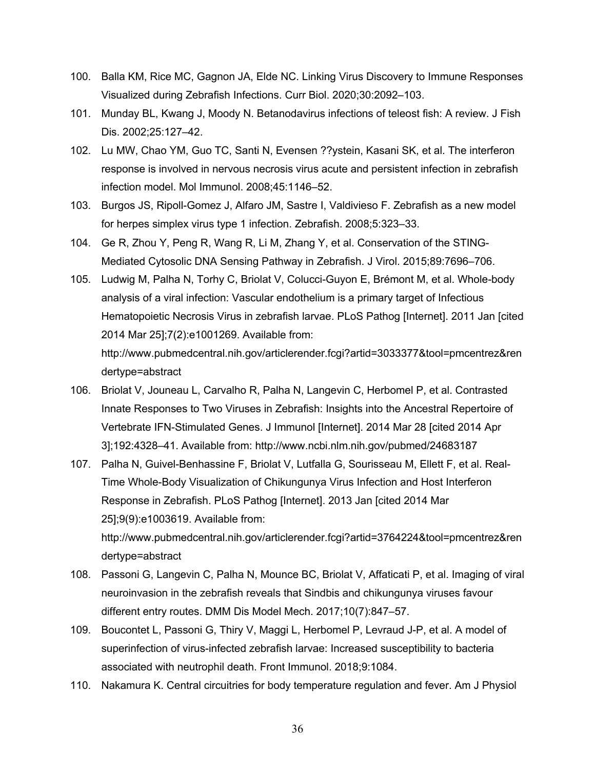- 100. Balla KM, Rice MC, Gagnon JA, Elde NC. Linking Virus Discovery to Immune Responses Visualized during Zebrafish Infections. Curr Biol. 2020;30:2092–103.
- 101. Munday BL, Kwang J, Moody N. Betanodavirus infections of teleost fish: A review. J Fish Dis. 2002;25:127–42.
- 102. Lu MW, Chao YM, Guo TC, Santi N, Evensen ??ystein, Kasani SK, et al. The interferon response is involved in nervous necrosis virus acute and persistent infection in zebrafish infection model. Mol Immunol. 2008;45:1146–52.
- 103. Burgos JS, Ripoll-Gomez J, Alfaro JM, Sastre I, Valdivieso F. Zebrafish as a new model for herpes simplex virus type 1 infection. Zebrafish. 2008;5:323–33.
- 104. Ge R, Zhou Y, Peng R, Wang R, Li M, Zhang Y, et al. Conservation of the STING-Mediated Cytosolic DNA Sensing Pathway in Zebrafish. J Virol. 2015;89:7696–706.
- 105. Ludwig M, Palha N, Torhy C, Briolat V, Colucci-Guyon E, Brémont M, et al. Whole-body analysis of a viral infection: Vascular endothelium is a primary target of Infectious Hematopoietic Necrosis Virus in zebrafish larvae. PLoS Pathog [Internet]. 2011 Jan [cited 2014 Mar 25];7(2):e1001269. Available from: http://www.pubmedcentral.nih.gov/articlerender.fcgi?artid=3033377&tool=pmcentrez&ren dertype=abstract
- 106. Briolat V, Jouneau L, Carvalho R, Palha N, Langevin C, Herbomel P, et al. Contrasted Innate Responses to Two Viruses in Zebrafish: Insights into the Ancestral Repertoire of Vertebrate IFN-Stimulated Genes. J Immunol [Internet]. 2014 Mar 28 [cited 2014 Apr 3];192:4328–41. Available from: http://www.ncbi.nlm.nih.gov/pubmed/24683187
- 107. Palha N, Guivel-Benhassine F, Briolat V, Lutfalla G, Sourisseau M, Ellett F, et al. Real-Time Whole-Body Visualization of Chikungunya Virus Infection and Host Interferon Response in Zebrafish. PLoS Pathog [Internet]. 2013 Jan [cited 2014 Mar 25];9(9):e1003619. Available from: http://www.pubmedcentral.nih.gov/articlerender.fcgi?artid=3764224&tool=pmcentrez&ren dertype=abstract
- 108. Passoni G, Langevin C, Palha N, Mounce BC, Briolat V, Affaticati P, et al. Imaging of viral neuroinvasion in the zebrafish reveals that Sindbis and chikungunya viruses favour different entry routes. DMM Dis Model Mech. 2017;10(7):847–57.
- 109. Boucontet L, Passoni G, Thiry V, Maggi L, Herbomel P, Levraud J-P, et al. A model of superinfection of virus-infected zebrafish larvae: Increased susceptibility to bacteria associated with neutrophil death. Front Immunol. 2018;9:1084.
- 110. Nakamura K. Central circuitries for body temperature regulation and fever. Am J Physiol